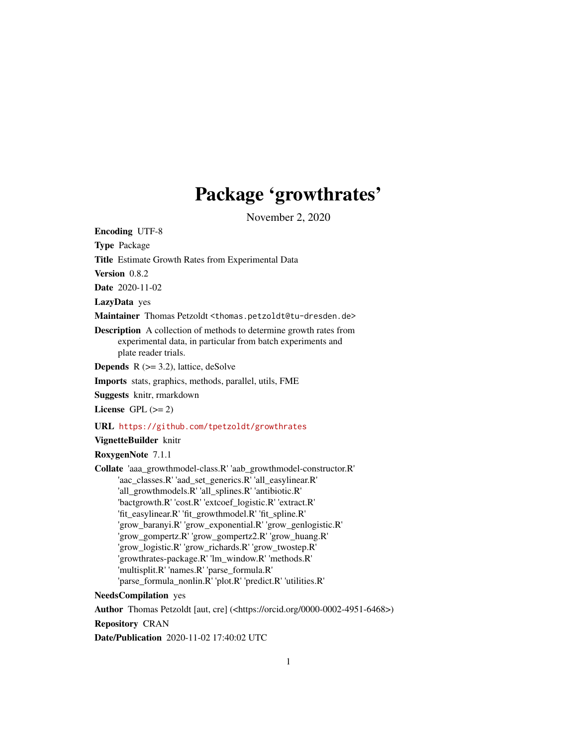# Package 'growthrates'

November 2, 2020

<span id="page-0-0"></span>Encoding UTF-8

Type Package

Title Estimate Growth Rates from Experimental Data

Version 0.8.2

Date 2020-11-02

LazyData yes

Maintainer Thomas Petzoldt <thomas.petzoldt@tu-dresden.de>

Description A collection of methods to determine growth rates from experimental data, in particular from batch experiments and plate reader trials.

**Depends**  $R$  ( $>= 3.2$ ), lattice, deSolve

Imports stats, graphics, methods, parallel, utils, FME

Suggests knitr, rmarkdown

License GPL  $(>= 2)$ 

URL <https://github.com/tpetzoldt/growthrates>

# VignetteBuilder knitr

RoxygenNote 7.1.1

Collate 'aaa\_growthmodel-class.R' 'aab\_growthmodel-constructor.R' 'aac\_classes.R' 'aad\_set\_generics.R' 'all\_easylinear.R' 'all\_growthmodels.R' 'all\_splines.R' 'antibiotic.R' 'bactgrowth.R' 'cost.R' 'extcoef\_logistic.R' 'extract.R' 'fit\_easylinear.R' 'fit\_growthmodel.R' 'fit\_spline.R' 'grow\_baranyi.R' 'grow\_exponential.R' 'grow\_genlogistic.R' 'grow\_gompertz.R' 'grow\_gompertz2.R' 'grow\_huang.R' 'grow\_logistic.R' 'grow\_richards.R' 'grow\_twostep.R' 'growthrates-package.R' 'lm\_window.R' 'methods.R' 'multisplit.R' 'names.R' 'parse\_formula.R' 'parse\_formula\_nonlin.R' 'plot.R' 'predict.R' 'utilities.R'

NeedsCompilation yes

Author Thomas Petzoldt [aut, cre] (<https://orcid.org/0000-0002-4951-6468>) Repository CRAN Date/Publication 2020-11-02 17:40:02 UTC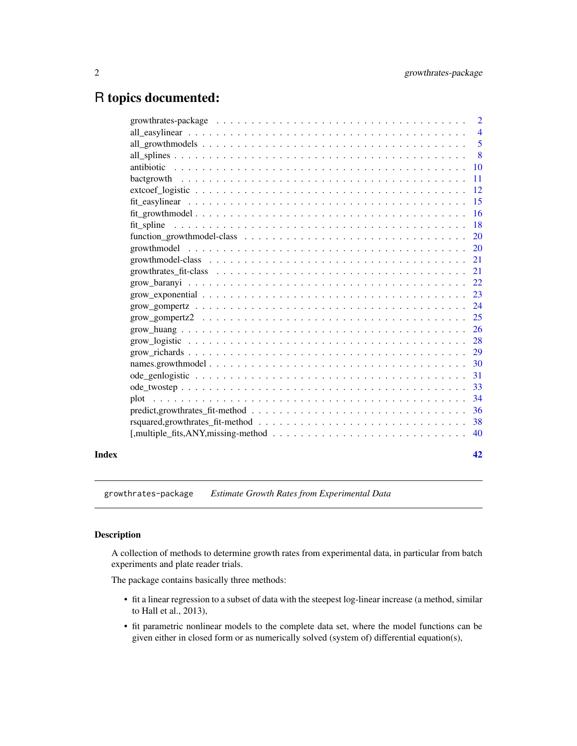# <span id="page-1-0"></span>R topics documented:

|       | growthrates-package $\ldots \ldots \ldots \ldots \ldots \ldots \ldots \ldots \ldots \ldots \ldots \ldots \ldots$ | 2              |
|-------|------------------------------------------------------------------------------------------------------------------|----------------|
|       |                                                                                                                  | $\overline{4}$ |
|       |                                                                                                                  | 5              |
|       |                                                                                                                  | 8              |
|       |                                                                                                                  | <sup>10</sup>  |
|       |                                                                                                                  | 11             |
|       |                                                                                                                  | 12             |
|       |                                                                                                                  | 15             |
|       |                                                                                                                  | <b>16</b>      |
|       |                                                                                                                  | <b>18</b>      |
|       |                                                                                                                  | <b>20</b>      |
|       |                                                                                                                  | <b>20</b>      |
|       |                                                                                                                  | 21             |
|       |                                                                                                                  | 21             |
|       |                                                                                                                  | 22             |
|       |                                                                                                                  | 23             |
|       |                                                                                                                  | 24             |
|       |                                                                                                                  | 25             |
|       |                                                                                                                  | 26             |
|       |                                                                                                                  | 28             |
|       |                                                                                                                  | 29             |
|       |                                                                                                                  | 30             |
|       |                                                                                                                  | 31             |
|       |                                                                                                                  | 33             |
|       |                                                                                                                  | 34             |
|       |                                                                                                                  | 36             |
|       | $rsquared, growth rates_f it. method \ldots \ldots \ldots \ldots \ldots \ldots \ldots \ldots \ldots \ldots$      | 38             |
|       | $[$ , multiple_fits, ANY, missing-method $\ldots \ldots \ldots \ldots \ldots \ldots \ldots \ldots \ldots \ldots$ | 40             |
|       |                                                                                                                  |                |
| Index |                                                                                                                  | 42             |

growthrates-package *Estimate Growth Rates from Experimental Data*

# Description

A collection of methods to determine growth rates from experimental data, in particular from batch experiments and plate reader trials.

The package contains basically three methods:

- fit a linear regression to a subset of data with the steepest log-linear increase (a method, similar to Hall et al., 2013),
- fit parametric nonlinear models to the complete data set, where the model functions can be given either in closed form or as numerically solved (system of) differential equation(s),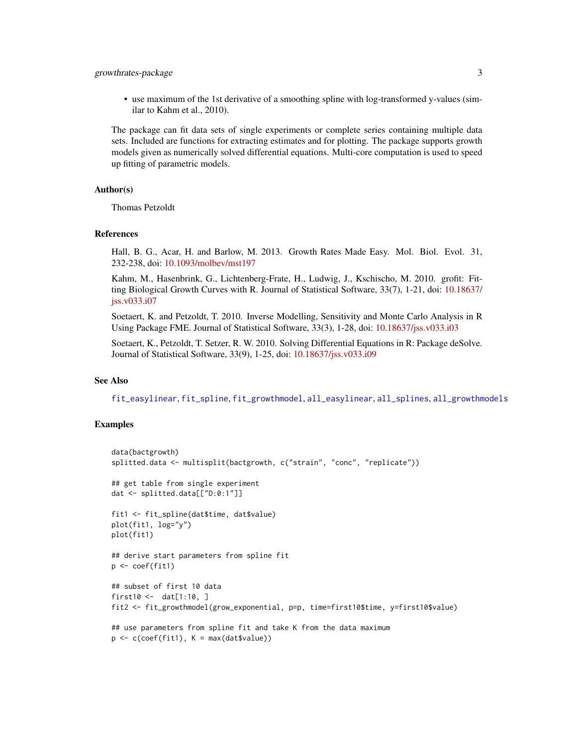# <span id="page-2-0"></span>growthrates-package 3

• use maximum of the 1st derivative of a smoothing spline with log-transformed y-values (similar to Kahm et al., 2010).

The package can fit data sets of single experiments or complete series containing multiple data sets. Included are functions for extracting estimates and for plotting. The package supports growth models given as numerically solved differential equations. Multi-core computation is used to speed up fitting of parametric models.

# Author(s)

Thomas Petzoldt

#### References

Hall, B. G., Acar, H. and Barlow, M. 2013. Growth Rates Made Easy. Mol. Biol. Evol. 31, 232-238, doi: [10.1093/molbev/mst197](https://doi.org/10.1093/molbev/mst197)

Kahm, M., Hasenbrink, G., Lichtenberg-Frate, H., Ludwig, J., Kschischo, M. 2010. grofit: Fitting Biological Growth Curves with R. Journal of Statistical Software, 33(7), 1-21, doi: [10.18637/](https://doi.org/10.18637/jss.v033.i07) [jss.v033.i07](https://doi.org/10.18637/jss.v033.i07)

Soetaert, K. and Petzoldt, T. 2010. Inverse Modelling, Sensitivity and Monte Carlo Analysis in R Using Package FME. Journal of Statistical Software, 33(3), 1-28, doi: [10.18637/jss.v033.i03](https://doi.org/10.18637/jss.v033.i03)

Soetaert, K., Petzoldt, T. Setzer, R. W. 2010. Solving Differential Equations in R: Package deSolve. Journal of Statistical Software, 33(9), 1-25, doi: [10.18637/jss.v033.i09](https://doi.org/10.18637/jss.v033.i09)

#### See Also

[fit\\_easylinear](#page-14-1), [fit\\_spline](#page-17-1), [fit\\_growthmodel](#page-15-1), [all\\_easylinear](#page-3-1), [all\\_splines](#page-7-1), [all\\_growthmodels](#page-4-1)

```
data(bactgrowth)
splitted.data <- multisplit(bactgrowth, c("strain", "conc", "replicate"))
## get table from single experiment
dat <- splitted.data[["D:0:1"]]
fit1 <- fit_spline(dat$time, dat$value)
plot(fit1, log="y")
plot(fit1)
## derive start parameters from spline fit
p <- coef(fit1)
## subset of first 10 data
first10 <- dat[1:10, ]
fit2 <- fit_growthmodel(grow_exponential, p=p, time=first10$time, y=first10$value)
## use parameters from spline fit and take K from the data maximum
p \leftarrow c(coef(fitt), K = max(data\$value))
```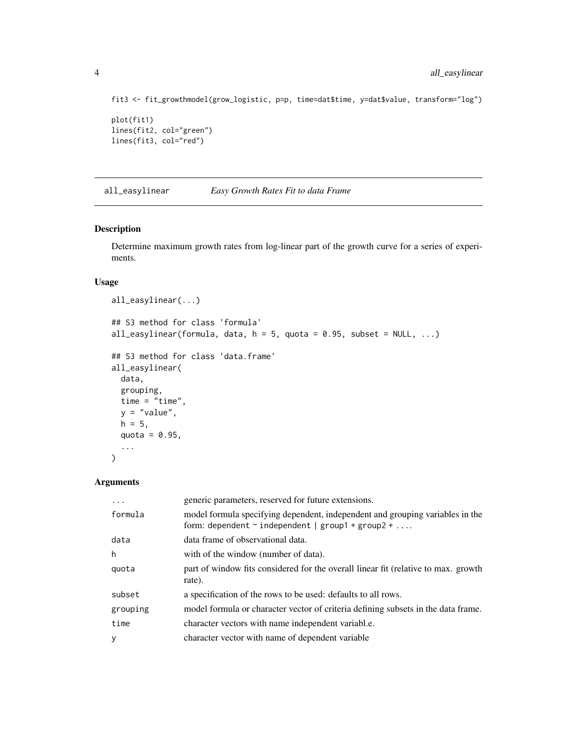```
fit3 <- fit_growthmodel(grow_logistic, p=p, time=dat$time, y=dat$value, transform="log")
plot(fit1)
lines(fit2, col="green")
lines(fit3, col="red")
```
<span id="page-3-1"></span>all\_easylinear *Easy Growth Rates Fit to data Frame*

# Description

Determine maximum growth rates from log-linear part of the growth curve for a series of experiments.

# Usage

```
all_easylinear(...)
## S3 method for class 'formula'
all_easylinear(formula, data, h = 5, quota = 0.95, subset = NULL, ...)
## S3 method for class 'data.frame'
all_easylinear(
 data,
 grouping,
 time = "time",
 y = "value",h = 5,
 quota = 0.95,
  ...
\mathcal{L}
```
# Arguments

| .        | generic parameters, reserved for future extensions.                                                                                     |
|----------|-----------------------------------------------------------------------------------------------------------------------------------------|
| formula  | model formula specifying dependent, independent and grouping variables in the<br>form: dependent $\sim$ independent   group1 + group2 + |
| data     | data frame of observational data.                                                                                                       |
| h        | with of the window (number of data).                                                                                                    |
| quota    | part of window fits considered for the overall linear fit (relative to max. growth<br>rate).                                            |
| subset   | a specification of the rows to be used: defaults to all rows.                                                                           |
| grouping | model formula or character vector of criteria defining subsets in the data frame.                                                       |
| time     | character vectors with name independent variabl.e.                                                                                      |
| y        | character vector with name of dependent variable                                                                                        |

<span id="page-3-0"></span>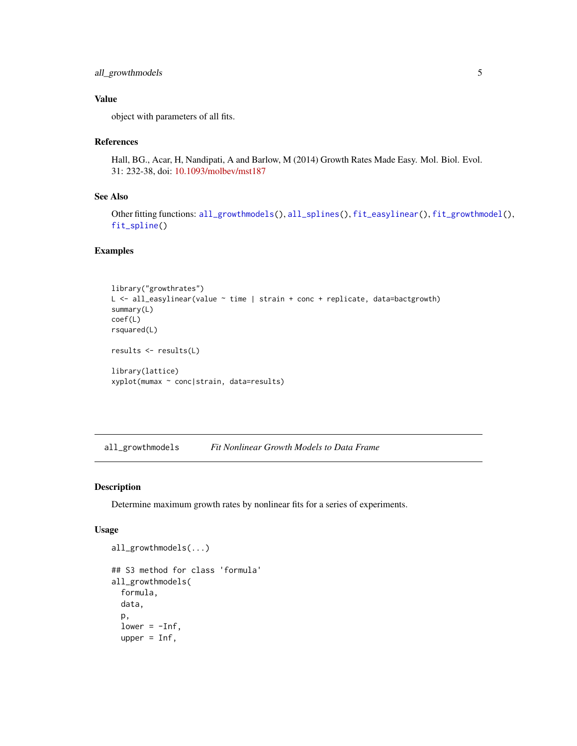# <span id="page-4-0"></span>all\_growthmodels 5

# Value

object with parameters of all fits.

# References

Hall, BG., Acar, H, Nandipati, A and Barlow, M (2014) Growth Rates Made Easy. Mol. Biol. Evol. 31: 232-38, doi: [10.1093/molbev/mst187](https://doi.org/10.1093/molbev/mst187)

# See Also

Other fitting functions: [all\\_growthmodels\(](#page-4-1)), [all\\_splines\(](#page-7-1)), [fit\\_easylinear\(](#page-14-1)), [fit\\_growthmodel\(](#page-15-1)), [fit\\_spline\(](#page-17-1))

# Examples

```
library("growthrates")
L <- all_easylinear(value ~ time | strain + conc + replicate, data=bactgrowth)
summary(L)
coef(L)
rsquared(L)
results <- results(L)
library(lattice)
xyplot(mumax ~ conc|strain, data=results)
```
<span id="page-4-1"></span>all\_growthmodels *Fit Nonlinear Growth Models to Data Frame*

# Description

Determine maximum growth rates by nonlinear fits for a series of experiments.

# Usage

```
all_growthmodels(...)
## S3 method for class 'formula'
all_growthmodels(
  formula,
  data,
  p,
  lower = -Inf,upper = Inf,
```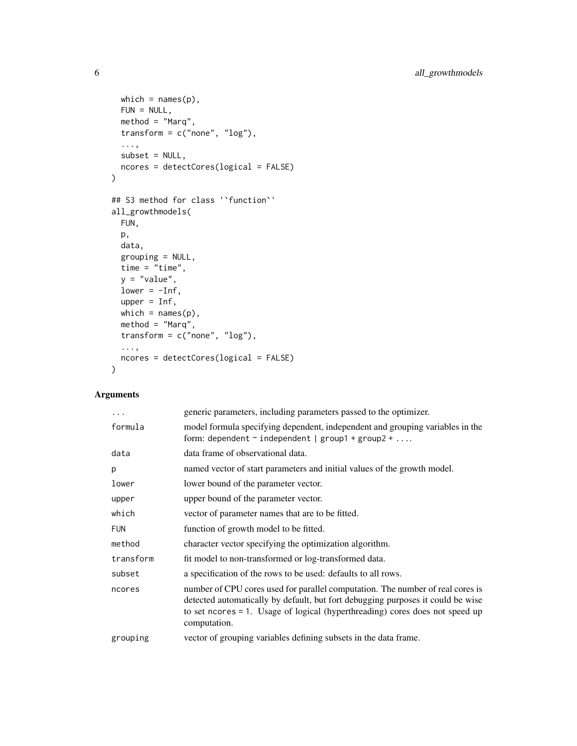```
which = names(p),
 FUN = NULL,method = "Marq",
 transform = c("none", "log"),
  ...,
 subset = NULL,ncores = detectCores(logical = FALSE)
\mathcal{L}## S3 method for class '`function`'
all_growthmodels(
 FUN,
 p,
 data,
 grouping = NULL,
 time = "time",
 y = "value",
 lower = -Inf,
 upper = Inf,
 which = names(p),
 method = "Marq",
 transform = c("none", "log"),
  ...,
 ncores = detectCores(logical = FALSE)
\mathcal{L}
```
# Arguments

| .          | generic parameters, including parameters passed to the optimizer.                                                                                                                                                                                                 |
|------------|-------------------------------------------------------------------------------------------------------------------------------------------------------------------------------------------------------------------------------------------------------------------|
| formula    | model formula specifying dependent, independent and grouping variables in the<br>form: dependent $\sim$ independent   group1 + group2 +                                                                                                                           |
| data       | data frame of observational data.                                                                                                                                                                                                                                 |
| p          | named vector of start parameters and initial values of the growth model.                                                                                                                                                                                          |
| lower      | lower bound of the parameter vector.                                                                                                                                                                                                                              |
| upper      | upper bound of the parameter vector.                                                                                                                                                                                                                              |
| which      | vector of parameter names that are to be fitted.                                                                                                                                                                                                                  |
| <b>FUN</b> | function of growth model to be fitted.                                                                                                                                                                                                                            |
| method     | character vector specifying the optimization algorithm.                                                                                                                                                                                                           |
| transform  | fit model to non-transformed or log-transformed data.                                                                                                                                                                                                             |
| subset     | a specification of the rows to be used: defaults to all rows.                                                                                                                                                                                                     |
| ncores     | number of CPU cores used for parallel computation. The number of real cores is<br>detected automatically by default, but fort debugging purposes it could be wise<br>to set ncores = 1. Usage of logical (hyperthreading) cores does not speed up<br>computation. |
| grouping   | vector of grouping variables defining subsets in the data frame.                                                                                                                                                                                                  |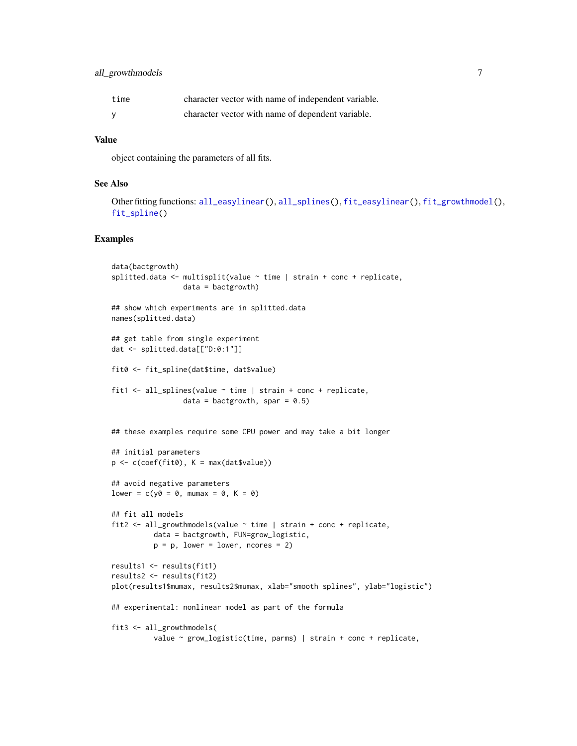# <span id="page-6-0"></span>all\_growthmodels 7

| time | character vector with name of independent variable. |
|------|-----------------------------------------------------|
|      | character vector with name of dependent variable.   |

# Value

object containing the parameters of all fits.

# See Also

```
Other fitting functions: all_easylinear(), all_splines(), fit_easylinear(), fit_growthmodel(),
fit_spline()
```

```
data(bactgrowth)
splitted.data <- multisplit(value ~ time | strain + conc + replicate,
                 data = bactgrowth)
## show which experiments are in splitted.data
names(splitted.data)
## get table from single experiment
dat <- splitted.data[["D:0:1"]]
fit0 <- fit_spline(dat$time, dat$value)
fit1 <- all_splines(value ~ time | strain + conc + replicate,
                 data = bactgrowth, spar = 0.5)
## these examples require some CPU power and may take a bit longer
## initial parameters
p \leftarrow c(coef(fit0), K = max(datavalue))## avoid negative parameters
lower = c(y0 = 0, \text{ mumax} = 0, \text{ K} = 0)## fit all models
fit2 \le all_growthmodels(value \sim time | strain + conc + replicate,
          data = bactgrowth, FUN=grow_logistic,
          p = p, lower = lower, ncores = 2)
results1 <- results(fit1)
results2 <- results(fit2)
plot(results1$mumax, results2$mumax, xlab="smooth splines", ylab="logistic")
## experimental: nonlinear model as part of the formula
fit3 <- all_growthmodels(
          value ~ grow_logistic(time, parms) | strain + conc + replicate,
```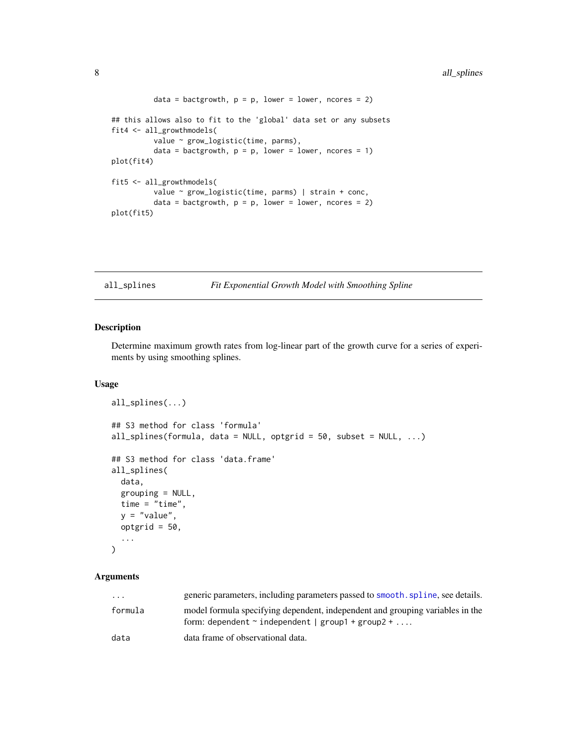```
data = bactgrowth, p = p, lower = lower, ncores = 2)
## this allows also to fit to the 'global' data set or any subsets
fit4 <- all_growthmodels(
         value ~ grow_logistic(time, parms),
          data = bactgrowth, p = p, lower = lower, ncores = 1)
plot(fit4)
fit5 <- all_growthmodels(
         value ~ grow_logistic(time, parms) | strain + conc,
          data = bactgrowth, p = p, lower = lower, ncores = 2)
plot(fit5)
```
<span id="page-7-1"></span>all\_splines *Fit Exponential Growth Model with Smoothing Spline*

# Description

Determine maximum growth rates from log-linear part of the growth curve for a series of experiments by using smoothing splines.

# Usage

```
all_splines(...)
## S3 method for class 'formula'
all_splines(formula, data = NULL, optgrid = 50, subset = NULL, \ldots)
## S3 method for class 'data.frame'
all_splines(
 data,
 grouping = NULL,
 time = "time",
 y = "value",optgrid = 50,
  ...
)
```
# Arguments

| $\cdot$ $\cdot$ $\cdot$ | generic parameters, including parameters passed to smooth, spline, see details.                                                         |
|-------------------------|-----------------------------------------------------------------------------------------------------------------------------------------|
| formula                 | model formula specifying dependent, independent and grouping variables in the<br>form: dependent $\sim$ independent   group1 + group2 + |
| data                    | data frame of observational data.                                                                                                       |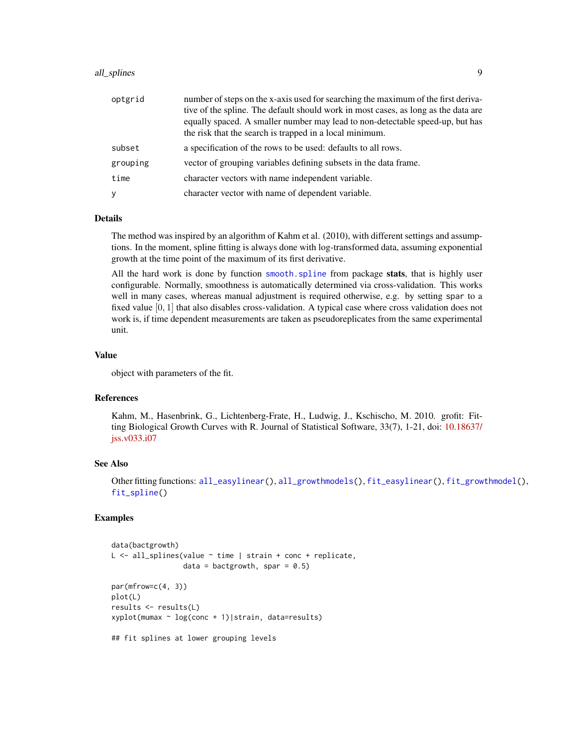# <span id="page-8-0"></span>all\_splines 9

| optgrid  | number of steps on the x-axis used for searching the maximum of the first deriva-  |
|----------|------------------------------------------------------------------------------------|
|          | tive of the spline. The default should work in most cases, as long as the data are |
|          | equally spaced. A smaller number may lead to non-detectable speed-up, but has      |
|          | the risk that the search is trapped in a local minimum.                            |
| subset   | a specification of the rows to be used: defaults to all rows.                      |
| grouping | vector of grouping variables defining subsets in the data frame.                   |
| time     | character vectors with name independent variable.                                  |
| У        | character vector with name of dependent variable.                                  |

#### Details

The method was inspired by an algorithm of Kahm et al. (2010), with different settings and assumptions. In the moment, spline fitting is always done with log-transformed data, assuming exponential growth at the time point of the maximum of its first derivative.

All the hard work is done by function smooth. spline from package stats, that is highly user configurable. Normally, smoothness is automatically determined via cross-validation. This works well in many cases, whereas manual adjustment is required otherwise, e.g. by setting spar to a fixed value [0, 1] that also disables cross-validation. A typical case where cross validation does not work is, if time dependent measurements are taken as pseudoreplicates from the same experimental unit.

#### Value

object with parameters of the fit.

# References

Kahm, M., Hasenbrink, G., Lichtenberg-Frate, H., Ludwig, J., Kschischo, M. 2010. grofit: Fitting Biological Growth Curves with R. Journal of Statistical Software, 33(7), 1-21, doi: [10.18637/](https://doi.org/10.18637/jss.v033.i07) [jss.v033.i07](https://doi.org/10.18637/jss.v033.i07)

# See Also

Other fitting functions: [all\\_easylinear\(](#page-3-1)), [all\\_growthmodels\(](#page-4-1)), [fit\\_easylinear\(](#page-14-1)), [fit\\_growthmodel\(](#page-15-1)), [fit\\_spline\(](#page-17-1))

```
data(bactgrowth)
L <- all_splines(value ~ time | strain + conc + replicate,
                 data = bactgrowth, spar = 0.5)
par(mfrow=c(4, 3))
plot(L)
results <- results(L)
xyplot(mumax ~ log(conc + 1)|strain, data=results)
## fit splines at lower grouping levels
```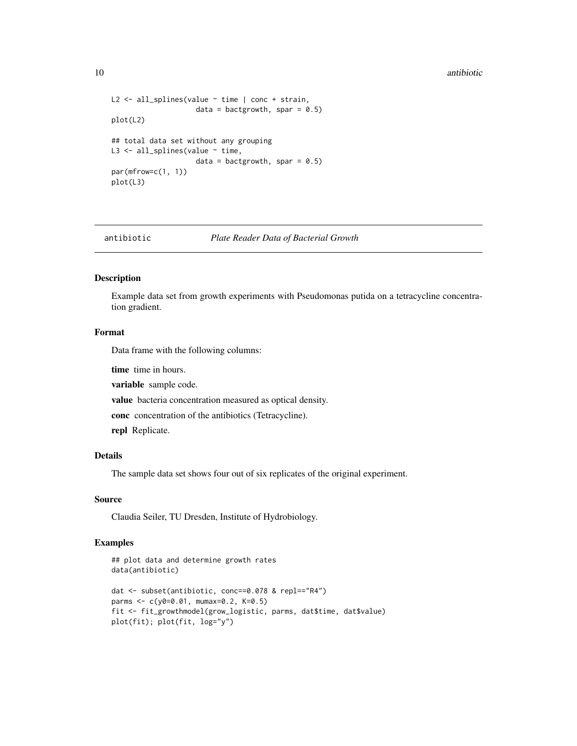#### <span id="page-9-0"></span>10 antibiotic and  $\frac{1}{2}$  antibiotic antibiotic antibiotic antibiotic antibiotic antibiotic antibiotic antibiotic antibiotic antibiotic antibiotic antibiotic antibiotic antibiotic antibiotic antibiotic antibiotic antibio

```
L2 \leftarrow all_splines(value \sim time | conc + strain,
                     data = bactgrowth, spar = 0.5)
plot(L2)
## total data set without any grouping
L3 <- all_splines(value ~ time,
                     data = bactgrowth, spar = 0.5)
par(mfrow=c(1, 1))
plot(L3)
```
#### antibiotic *Plate Reader Data of Bacterial Growth*

# Description

Example data set from growth experiments with Pseudomonas putida on a tetracycline concentration gradient.

# Format

Data frame with the following columns:

time time in hours.

variable sample code.

value bacteria concentration measured as optical density.

conc concentration of the antibiotics (Tetracycline).

repl Replicate.

# Details

The sample data set shows four out of six replicates of the original experiment.

#### Source

Claudia Seiler, TU Dresden, Institute of Hydrobiology.

```
## plot data and determine growth rates
data(antibiotic)
dat <- subset(antibiotic, conc==0.078 & repl=="R4")
parms <- c(y0=0.01, mumax=0.2, K=0.5)
fit <- fit_growthmodel(grow_logistic, parms, dat$time, dat$value)
plot(fit); plot(fit, log="y")
```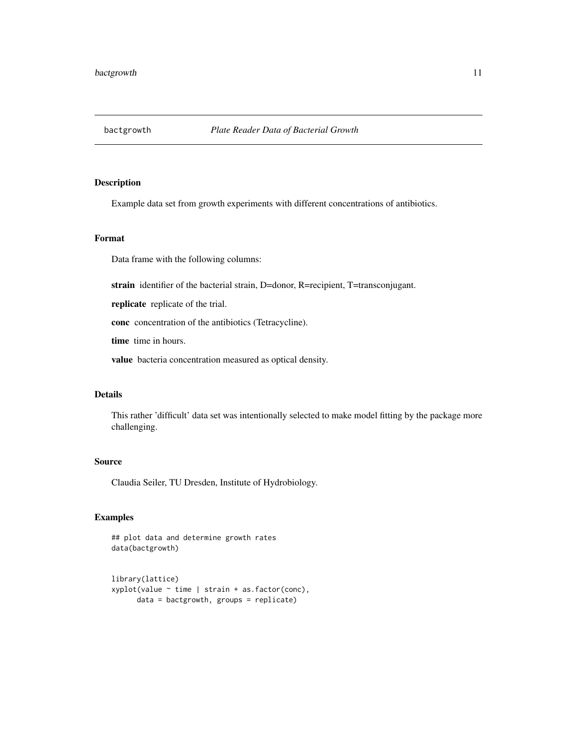<span id="page-10-0"></span>

# Description

Example data set from growth experiments with different concentrations of antibiotics.

# Format

Data frame with the following columns:

strain identifier of the bacterial strain, D=donor, R=recipient, T=transconjugant.

replicate replicate of the trial.

conc concentration of the antibiotics (Tetracycline).

time time in hours.

value bacteria concentration measured as optical density.

# Details

This rather 'difficult' data set was intentionally selected to make model fitting by the package more challenging.

# Source

Claudia Seiler, TU Dresden, Institute of Hydrobiology.

```
## plot data and determine growth rates
data(bactgrowth)
```

```
library(lattice)
xyplot(value ~ time | strain + as.factor(conc),
     data = bactgrowth, groups = replicate)
```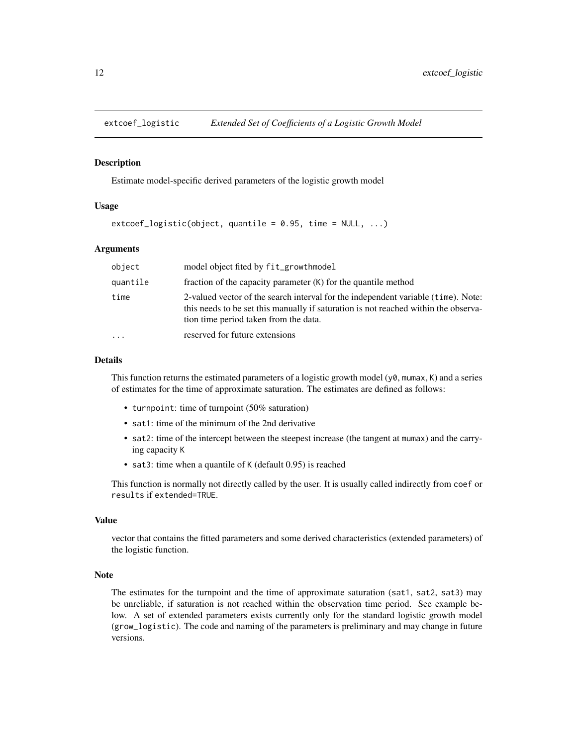<span id="page-11-0"></span>

#### **Description**

Estimate model-specific derived parameters of the logistic growth model

# Usage

```
extcoef\_logistic(object, quantile = 0.95, time = NULL, ...)
```
# Arguments

| object                  | model object fited by fit_growthmodel                                                                                                                                                                             |
|-------------------------|-------------------------------------------------------------------------------------------------------------------------------------------------------------------------------------------------------------------|
| quantile                | fraction of the capacity parameter $(K)$ for the quantile method                                                                                                                                                  |
| time                    | 2-valued vector of the search interval for the independent variable (time). Note:<br>this needs to be set this manually if saturation is not reached within the observa-<br>tion time period taken from the data. |
| $\cdot$ $\cdot$ $\cdot$ | reserved for future extensions                                                                                                                                                                                    |

#### Details

This function returns the estimated parameters of a logistic growth model  $(y\theta, \text{mumax}, K)$  and a series of estimates for the time of approximate saturation. The estimates are defined as follows:

- turnpoint: time of turnpoint (50% saturation)
- sat1: time of the minimum of the 2nd derivative
- sat2: time of the intercept between the steepest increase (the tangent at mumax) and the carrying capacity K
- sat3: time when a quantile of K (default 0.95) is reached

This function is normally not directly called by the user. It is usually called indirectly from coef or results if extended=TRUE.

# Value

vector that contains the fitted parameters and some derived characteristics (extended parameters) of the logistic function.

# Note

The estimates for the turnpoint and the time of approximate saturation (sat1, sat2, sat3) may be unreliable, if saturation is not reached within the observation time period. See example below. A set of extended parameters exists currently only for the standard logistic growth model (grow\_logistic). The code and naming of the parameters is preliminary and may change in future versions.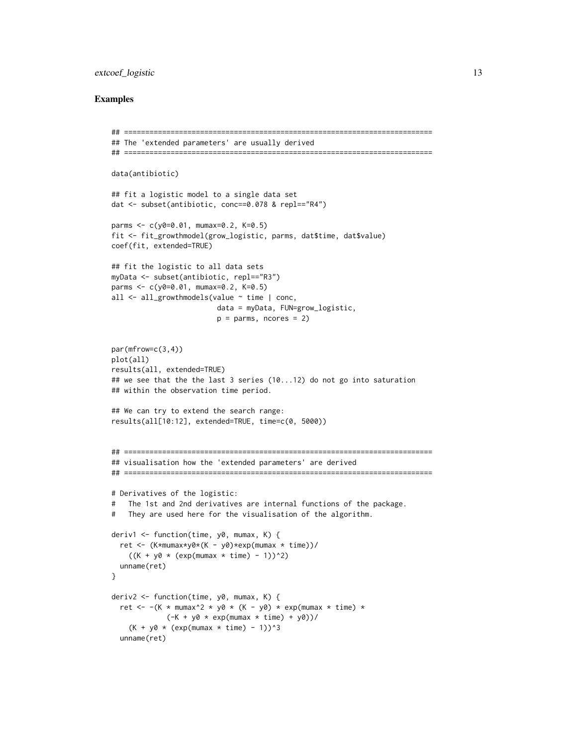# extcoef\_logistic 13

```
## =========================================================================
## The 'extended parameters' are usually derived
## =========================================================================
data(antibiotic)
## fit a logistic model to a single data set
dat <- subset(antibiotic, conc==0.078 & repl=="R4")
parms <- c(y0=0.01, mumax=0.2, K=0.5)
fit <- fit_growthmodel(grow_logistic, parms, dat$time, dat$value)
coef(fit, extended=TRUE)
## fit the logistic to all data sets
myData <- subset(antibiotic, repl=="R3")
parms <- c(y0=0.01, mumax=0.2, K=0.5)
all <- all_growthmodels(value ~ time | conc,
                        data = myData, FUN=grow_logistic,
                         p = parms, ncores = 2)
par(mfrow=c(3,4))
plot(all)
results(all, extended=TRUE)
## we see that the the last 3 series (10...12) do not go into saturation
## within the observation time period.
## We can try to extend the search range:
results(all[10:12], extended=TRUE, time=c(0, 5000))
## =========================================================================
## visualisation how the 'extended parameters' are derived
## =========================================================================
# Derivatives of the logistic:
# The 1st and 2nd derivatives are internal functions of the package.
# They are used here for the visualisation of the algorithm.
deriv1 <- function(time, y0, mumax, K) {
  ret <- (K*mumax*y0*(K - y0)*exp(mumax * time))/
    ((K + y0 * (exp(mumax * time) - 1))^2)unname(ret)
}
deriv2 <- function(time, y0, mumax, K) {
  ret <- -(K * mumax^2 * y0 * (K - y0) * exp(mumax * time) *(-K + y0 * exp(mumax * time) + y0))/(K + y0 * (exp(mumax * time) - 1))^3unname(ret)
```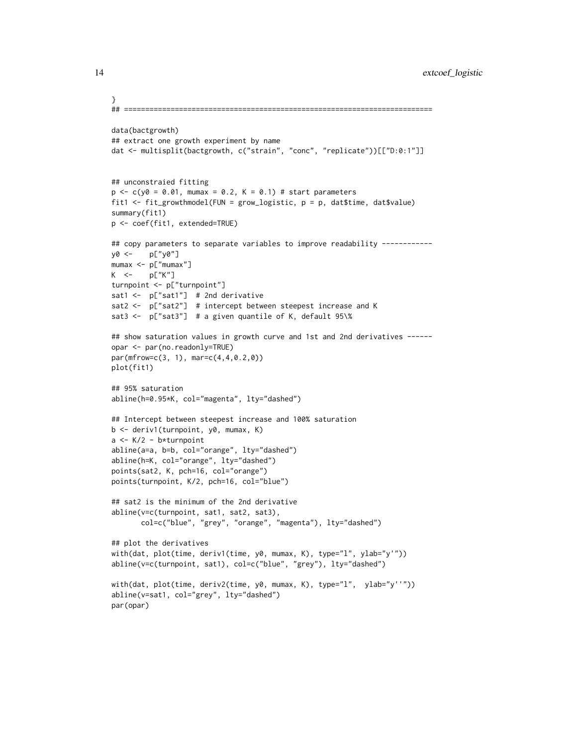```
}
## =========================================================================
data(bactgrowth)
## extract one growth experiment by name
dat <- multisplit(bactgrowth, c("strain", "conc", "replicate"))[["D:0:1"]]
## unconstraied fitting
p \leq -c(y0 = 0.01, \text{ mumax} = 0.2, K = 0.1) # start parameters
fit1 <- fit_growthmodel(FUN = grow_logistic, p = p, dat$time, dat$value)
summary(fit1)
p <- coef(fit1, extended=TRUE)
## copy parameters to separate variables to improve readability -----------
y0 <- p["y0"]
mumax <- p["mumax"]
K <- p["K"]
turnpoint <- p["turnpoint"]
sat1 <- p["sat1"] # 2nd derivative
sat2 <- p["sat2"] # intercept between steepest increase and K
sat3 <- p['sat3''] # a given quantile of K, default 95\%## show saturation values in growth curve and 1st and 2nd derivatives ------
opar <- par(no.readonly=TRUE)
par(mfrow=c(3, 1), mar=c(4,4,0.2,0))
plot(fit1)
## 95% saturation
abline(h=0.95*K, col="magenta", lty="dashed")
## Intercept between steepest increase and 100% saturation
b <- deriv1(turnpoint, y0, mumax, K)
a <- K/2 - b*turnpoint
abline(a=a, b=b, col="orange", lty="dashed")
abline(h=K, col="orange", lty="dashed")
points(sat2, K, pch=16, col="orange")
points(turnpoint, K/2, pch=16, col="blue")
## sat2 is the minimum of the 2nd derivative
abline(v=c(turnpoint, sat1, sat2, sat3),
       col=c("blue", "grey", "orange", "magenta"), lty="dashed")
## plot the derivatives
with(dat, plot(time, deriv1(time, y0, mumax, K), type="l", ylab="y'"))
abline(v=c(turnpoint, sat1), col=c("blue", "grey"), lty="dashed")
with(dat, plot(time, deriv2(time, y0, mumax, K), type="l", ylab="y''"))
abline(v=sat1, col="grey", lty="dashed")
par(opar)
```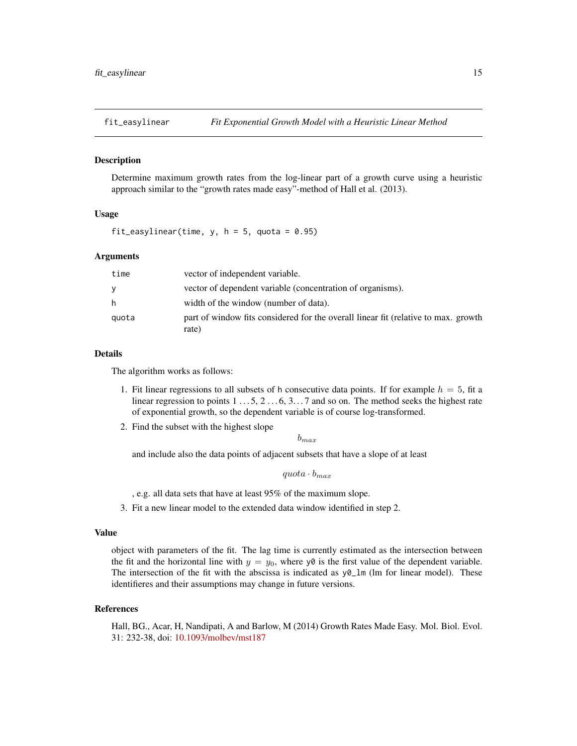<span id="page-14-1"></span><span id="page-14-0"></span>

# Description

Determine maximum growth rates from the log-linear part of a growth curve using a heuristic approach similar to the "growth rates made easy"-method of Hall et al. (2013).

#### Usage

fit\_easylinear(time,  $y$ ,  $h = 5$ , quota = 0.95)

# Arguments

| time  | vector of independent variable.                                                             |
|-------|---------------------------------------------------------------------------------------------|
| y     | vector of dependent variable (concentration of organisms).                                  |
| h     | width of the window (number of data).                                                       |
| quota | part of window fits considered for the overall linear fit (relative to max. growth<br>rate) |

# Details

The algorithm works as follows:

- 1. Fit linear regressions to all subsets of h consecutive data points. If for example  $h = 5$ , fit a linear regression to points  $1 \dots 5$ ,  $2 \dots 6$ ,  $3 \dots 7$  and so on. The method seeks the highest rate of exponential growth, so the dependent variable is of course log-transformed.
- 2. Find the subset with the highest slope

 $b_{max}$ 

and include also the data points of adjacent subsets that have a slope of at least

 $quota \cdot b_{max}$ 

, e.g. all data sets that have at least 95% of the maximum slope.

3. Fit a new linear model to the extended data window identified in step 2.

#### Value

object with parameters of the fit. The lag time is currently estimated as the intersection between the fit and the horizontal line with  $y = y_0$ , where y0 is the first value of the dependent variable. The intersection of the fit with the abscissa is indicated as  $y\theta_{\text{-}}lm$  (lm for linear model). These identifieres and their assumptions may change in future versions.

#### References

Hall, BG., Acar, H, Nandipati, A and Barlow, M (2014) Growth Rates Made Easy. Mol. Biol. Evol. 31: 232-38, doi: [10.1093/molbev/mst187](https://doi.org/10.1093/molbev/mst187)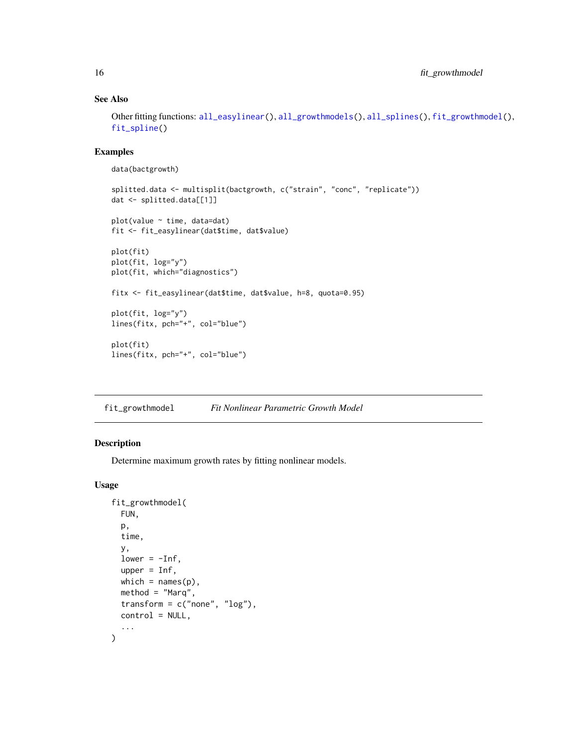# See Also

Other fitting functions: [all\\_easylinear\(](#page-3-1)), [all\\_growthmodels\(](#page-4-1)), [all\\_splines\(](#page-7-1)), [fit\\_growthmodel\(](#page-15-1)), [fit\\_spline\(](#page-17-1))

# Examples

```
data(bactgrowth)
```

```
splitted.data <- multisplit(bactgrowth, c("strain", "conc", "replicate"))
dat <- splitted.data[[1]]
plot(value ~ time, data=dat)fit <- fit_easylinear(dat$time, dat$value)
plot(fit)
plot(fit, log="y")
plot(fit, which="diagnostics")
fitx <- fit_easylinear(dat$time, dat$value, h=8, quota=0.95)
plot(fit, log="y")
lines(fitx, pch="+", col="blue")
plot(fit)
lines(fitx, pch="+", col="blue")
```
<span id="page-15-1"></span>fit\_growthmodel *Fit Nonlinear Parametric Growth Model*

# Description

Determine maximum growth rates by fitting nonlinear models.

# Usage

```
fit_growthmodel(
  FUN,
  p,
  time,
  y,
  lower = -Inf,upper = Inf,
 which = names(p),
 method = "Marq",
  transform = c("none", "log"),
 control = NULL,
  ...
)
```
<span id="page-15-0"></span>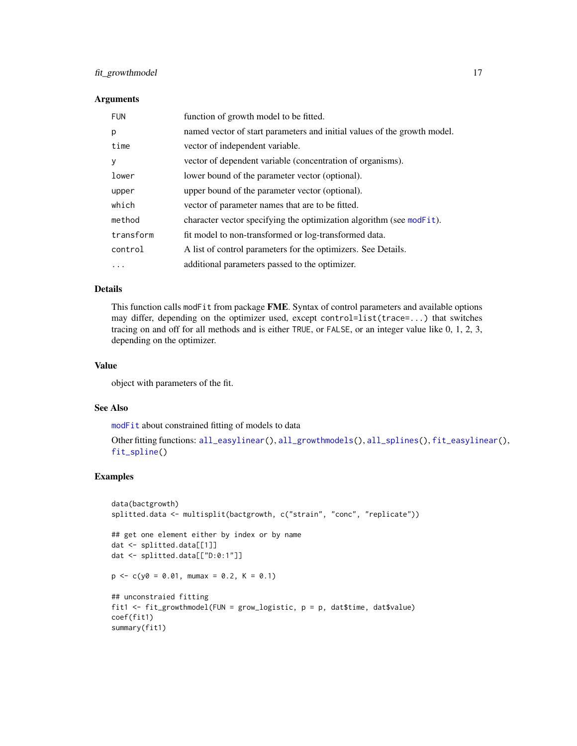# <span id="page-16-0"></span>fit\_growthmodel 17

# Arguments

| <b>FUN</b> | function of growth model to be fitted.                                   |
|------------|--------------------------------------------------------------------------|
| p          | named vector of start parameters and initial values of the growth model. |
| time       | vector of independent variable.                                          |
| у          | vector of dependent variable (concentration of organisms).               |
| lower      | lower bound of the parameter vector (optional).                          |
| upper      | upper bound of the parameter vector (optional).                          |
| which      | vector of parameter names that are to be fitted.                         |
| method     | character vector specifying the optimization algorithm (see modFit).     |
| transform  | fit model to non-transformed or log-transformed data.                    |
| control    | A list of control parameters for the optimizers. See Details.            |
| .          | additional parameters passed to the optimizer.                           |

# Details

This function calls modFit from package FME. Syntax of control parameters and available options may differ, depending on the optimizer used, except control=list(trace=...) that switches tracing on and off for all methods and is either TRUE, or FALSE, or an integer value like 0, 1, 2, 3, depending on the optimizer.

#### Value

object with parameters of the fit.

#### See Also

[modFit](#page-0-0) about constrained fitting of models to data

```
all_easylinear(all_growthmodels(all_splines(fit_easylinear(),
fit_spline()
```

```
data(bactgrowth)
splitted.data <- multisplit(bactgrowth, c("strain", "conc", "replicate"))
## get one element either by index or by name
dat <- splitted.data[[1]]
dat <- splitted.data[["D:0:1"]]
p \leq -c(y0 = 0.01, \text{ mumax} = 0.2, K = 0.1)## unconstraied fitting
fit1 <- fit_growthmodel(FUN = grow_logistic, p = p, dat$time, dat$value)
coef(fit1)
summary(fit1)
```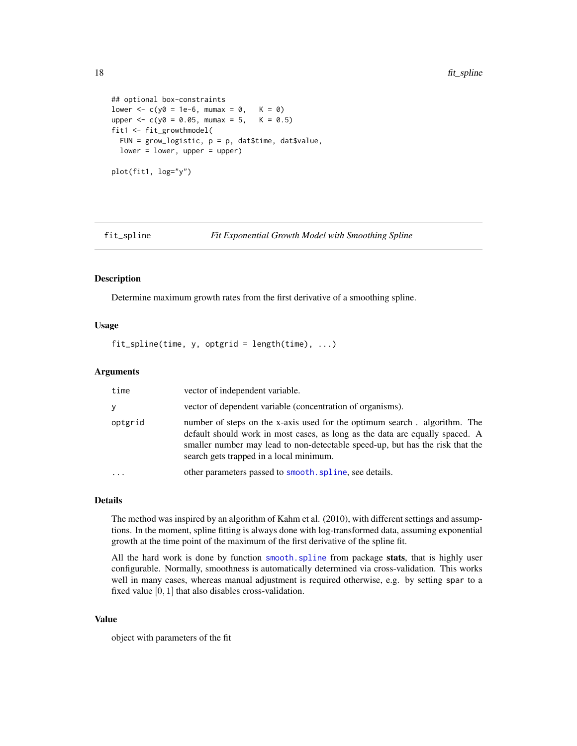```
## optional box-constraints
lower \leq -c(y\theta) = 1e-6, mumax = \theta, K = \theta)
upper <- c(y0 = 0.05, mumax = 5, K = 0.5)
fit1 <- fit_growthmodel(
  FUN = grow\_logistic, p = p, dat$time, dat$value,
  lower = lower, upper = upper)
plot(fit1, log="y")
```
<span id="page-17-1"></span>

fit\_spline *Fit Exponential Growth Model with Smoothing Spline*

# Description

Determine maximum growth rates from the first derivative of a smoothing spline.

# Usage

 $fit\_spline$ (time, y, optgrid = length(time), ...)

# Arguments

| time                    | vector of independent variable.                                                                                                                                                                                                                                                       |
|-------------------------|---------------------------------------------------------------------------------------------------------------------------------------------------------------------------------------------------------------------------------------------------------------------------------------|
|                         | vector of dependent variable (concentration of organisms).                                                                                                                                                                                                                            |
| optgrid                 | number of steps on the x-axis used for the optimum search. algorithm. The<br>default should work in most cases, as long as the data are equally spaced. A<br>smaller number may lead to non-detectable speed-up, but has the risk that the<br>search gets trapped in a local minimum. |
| $\cdot$ $\cdot$ $\cdot$ | other parameters passed to smooth, spline, see details.                                                                                                                                                                                                                               |

#### Details

The method was inspired by an algorithm of Kahm et al. (2010), with different settings and assumptions. In the moment, spline fitting is always done with log-transformed data, assuming exponential growth at the time point of the maximum of the first derivative of the spline fit.

All the hard work is done by function [smooth.spline](#page-0-0) from package stats, that is highly user configurable. Normally, smoothness is automatically determined via cross-validation. This works well in many cases, whereas manual adjustment is required otherwise, e.g. by setting spar to a fixed value  $[0, 1]$  that also disables cross-validation.

#### Value

object with parameters of the fit

<span id="page-17-0"></span>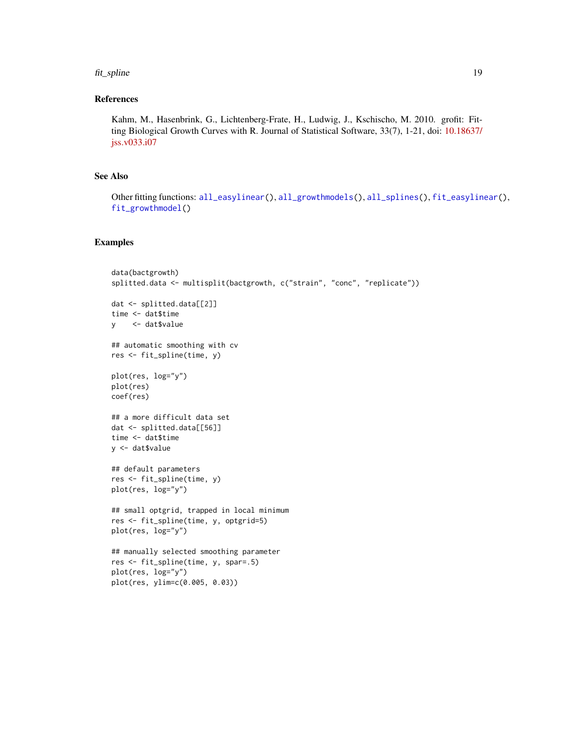#### <span id="page-18-0"></span>fit\_spline 19

# References

Kahm, M., Hasenbrink, G., Lichtenberg-Frate, H., Ludwig, J., Kschischo, M. 2010. grofit: Fitting Biological Growth Curves with R. Journal of Statistical Software, 33(7), 1-21, doi: [10.18637/](https://doi.org/10.18637/jss.v033.i07) [jss.v033.i07](https://doi.org/10.18637/jss.v033.i07)

# See Also

Other fitting functions: [all\\_easylinear\(](#page-3-1)), [all\\_growthmodels\(](#page-4-1)), [all\\_splines\(](#page-7-1)), [fit\\_easylinear\(](#page-14-1)), [fit\\_growthmodel\(](#page-15-1))

```
data(bactgrowth)
splitted.data <- multisplit(bactgrowth, c("strain", "conc", "replicate"))
dat <- splitted.data[[2]]
time <- dat$time
y <- dat$value
## automatic smoothing with cv
res <- fit_spline(time, y)
plot(res, log="y")
plot(res)
coef(res)
## a more difficult data set
dat <- splitted.data[[56]]
time <- dat$time
y <- dat$value
## default parameters
res <- fit_spline(time, y)
plot(res, log="y")
## small optgrid, trapped in local minimum
res <- fit_spline(time, y, optgrid=5)
plot(res, log="y")
## manually selected smoothing parameter
res <- fit_spline(time, y, spar=.5)
plot(res, log="y")
plot(res, ylim=c(0.005, 0.03))
```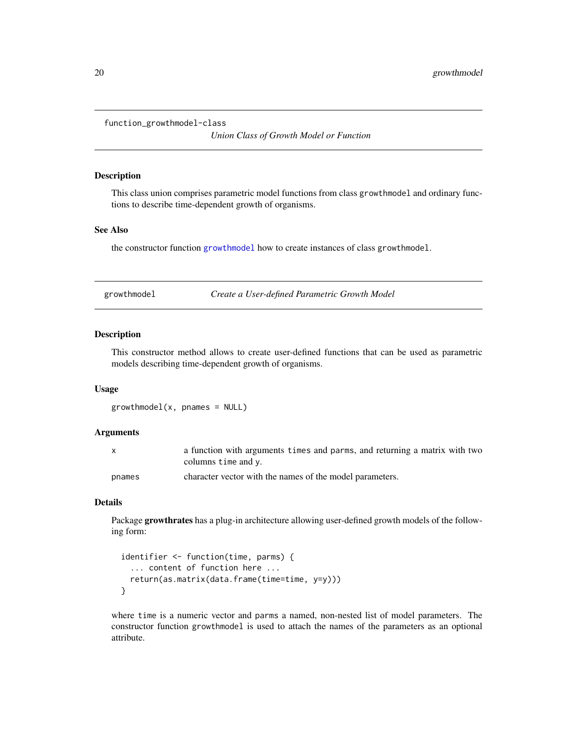<span id="page-19-0"></span>function\_growthmodel-class

*Union Class of Growth Model or Function*

# Description

This class union comprises parametric model functions from class growthmodel and ordinary functions to describe time-dependent growth of organisms.

# See Also

the constructor function [growthmodel](#page-19-1) how to create instances of class growthmodel.

<span id="page-19-1"></span>growthmodel *Create a User-defined Parametric Growth Model*

#### Description

This constructor method allows to create user-defined functions that can be used as parametric models describing time-dependent growth of organisms.

# Usage

```
growthmodel(x, panames = NULL)
```
#### Arguments

|        | a function with arguments times and parms, and returning a matrix with two |
|--------|----------------------------------------------------------------------------|
|        | columns time and y.                                                        |
| pnames | character vector with the names of the model parameters.                   |

# Details

Package growthrates has a plug-in architecture allowing user-defined growth models of the following form:

```
identifier <- function(time, parms) {
  ... content of function here ...
 return(as.matrix(data.frame(time=time, y=y)))
}
```
where time is a numeric vector and parms a named, non-nested list of model parameters. The constructor function growthmodel is used to attach the names of the parameters as an optional attribute.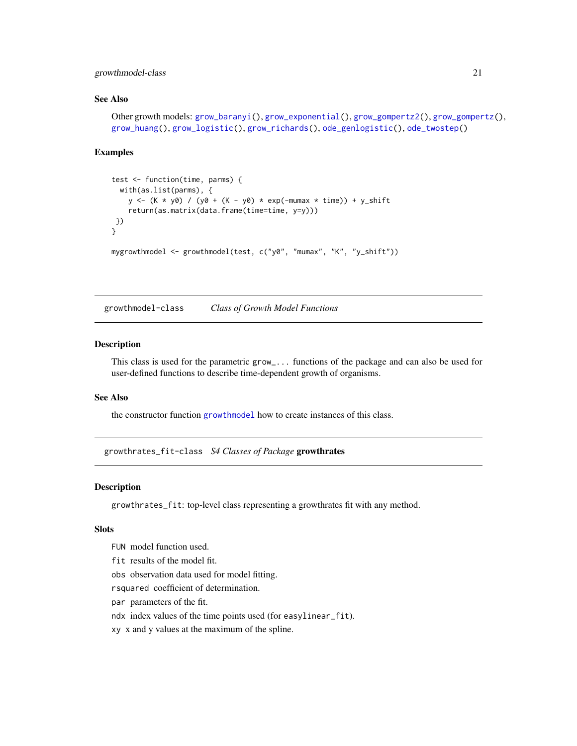# <span id="page-20-0"></span>growthmodel-class 21

# See Also

```
Other growth models: grow_baranyi(), grow_exponential(), grow_gompertz2(), grow_gompertz(),
grow_huang(), grow_logistic(), grow_richards(), ode_genlogistic(), ode_twostep()
```
#### Examples

```
test <- function(time, parms) {
  with(as.list(parms), {
   y \le -(K * y0) / (y0 + (K - y0) * exp(-mumax * time)) + y_shiftreturn(as.matrix(data.frame(time=time, y=y)))
})
}
mygrowthmodel <- growthmodel(test, c("y0", "mumax", "K", "y_shift"))
```
growthmodel-class *Class of Growth Model Functions*

# Description

This class is used for the parametric grow\_... functions of the package and can also be used for user-defined functions to describe time-dependent growth of organisms.

#### See Also

the constructor function [growthmodel](#page-19-1) how to create instances of this class.

growthrates\_fit-class *S4 Classes of Package* growthrates

# <span id="page-20-1"></span>Description

growthrates\_fit: top-level class representing a growthrates fit with any method.

#### Slots

- FUN model function used.
- fit results of the model fit.

obs observation data used for model fitting.

rsquared coefficient of determination.

par parameters of the fit.

ndx index values of the time points used (for easylinear\_fit).

xy x and y values at the maximum of the spline.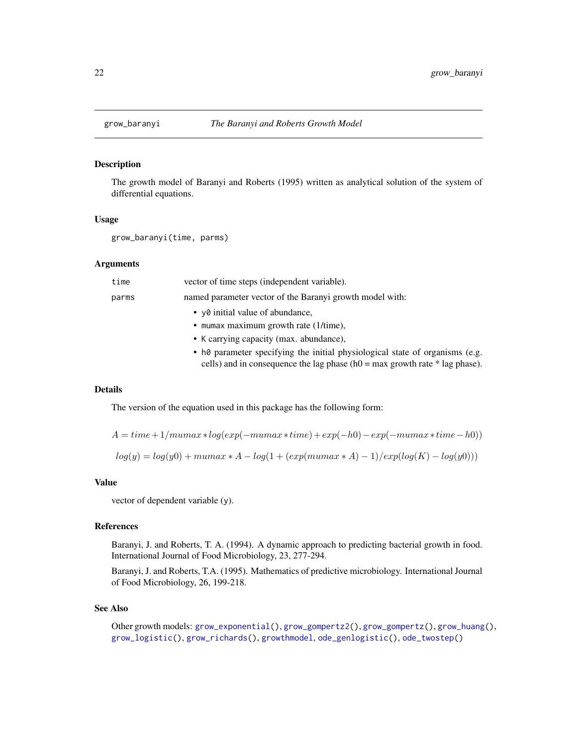<span id="page-21-1"></span><span id="page-21-0"></span>

#### Description

The growth model of Baranyi and Roberts (1995) written as analytical solution of the system of differential equations.

#### Usage

```
grow_baranyi(time, parms)
```
#### Arguments

| time  | vector of time steps (independent variable).                                                                                                                     |
|-------|------------------------------------------------------------------------------------------------------------------------------------------------------------------|
| parms | named parameter vector of the Baranyi growth model with:                                                                                                         |
|       | • yo initial value of abundance,                                                                                                                                 |
|       | • mumax maximum growth rate $(1/\text{time})$ ,                                                                                                                  |
|       | • K carrying capacity (max. abundance),                                                                                                                          |
|       | • h0 parameter specifying the initial physiological state of organisms (e.g.<br>cells) and in consequence the lag phase ( $h0 = max$ growth rate $*$ lag phase). |

#### Details

The version of the equation used in this package has the following form:

 $A = time + 1/munax * log(exp(-mumax * time) + exp(-h0) - exp(-mumax * time - h0))$  $log(y) = log(y0) + mumax * A - log(1 + (exp(mumax * A) - 1)/exp(log(K) - log(y0)))$ 

#### Value

vector of dependent variable (y).

#### References

Baranyi, J. and Roberts, T. A. (1994). A dynamic approach to predicting bacterial growth in food. International Journal of Food Microbiology, 23, 277-294.

Baranyi, J. and Roberts, T.A. (1995). Mathematics of predictive microbiology. International Journal of Food Microbiology, 26, 199-218.

#### See Also

```
Other growth models: grow_exponential(), grow_gompertz2(), grow_gompertz(), grow_huang(),
grow_logistic(), grow_richards(), growthmodel, ode_genlogistic(), ode_twostep()
```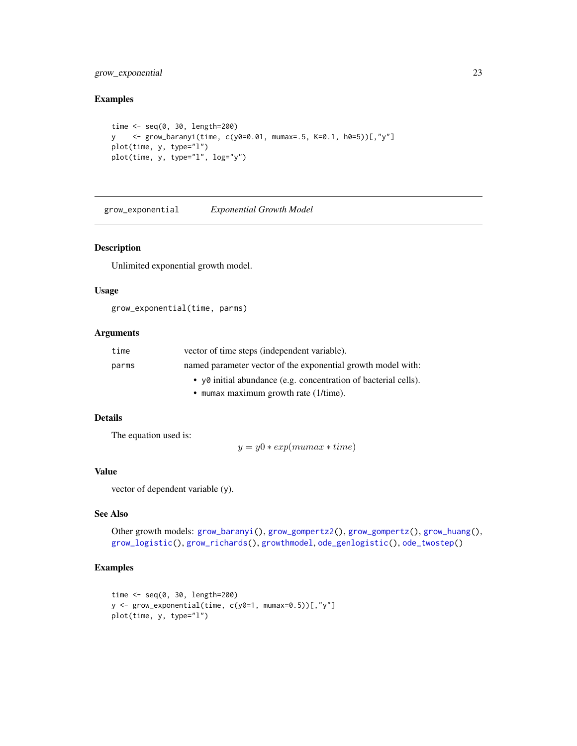# <span id="page-22-0"></span>grow\_exponential 23

# Examples

```
time <- seq(0, 30, length=200)
y <- grow_baranyi(time, c(y0=0.01, mumax=.5, K=0.1, h0=5))[,"y"]
plot(time, y, type="l")
plot(time, y, type="l", log="y")
```
<span id="page-22-1"></span>grow\_exponential *Exponential Growth Model*

# Description

Unlimited exponential growth model.

# Usage

grow\_exponential(time, parms)

# Arguments

| time  | vector of time steps (independent variable).                    |
|-------|-----------------------------------------------------------------|
| parms | named parameter vector of the exponential growth model with:    |
|       | • yo initial abundance (e.g. concentration of bacterial cells). |
|       | $\bullet$ mumax maximum growth rate (1/time).                   |

# Details

The equation used is:

 $y = y0 * exp(mumax * time)$ 

# Value

vector of dependent variable (y).

# See Also

Other growth models: [grow\\_baranyi\(](#page-21-1)), [grow\\_gompertz2\(](#page-24-1)), [grow\\_gompertz\(](#page-23-1)), [grow\\_huang\(](#page-25-1)), [grow\\_logistic\(](#page-27-1)), [grow\\_richards\(](#page-28-1)), [growthmodel](#page-19-1), [ode\\_genlogistic\(](#page-30-1)), [ode\\_twostep\(](#page-32-1))

```
time <- seq(0, 30, length=200)
y <- grow_exponential(time, c(y0=1, mumax=0.5))[,"y"]
plot(time, y, type="l")
```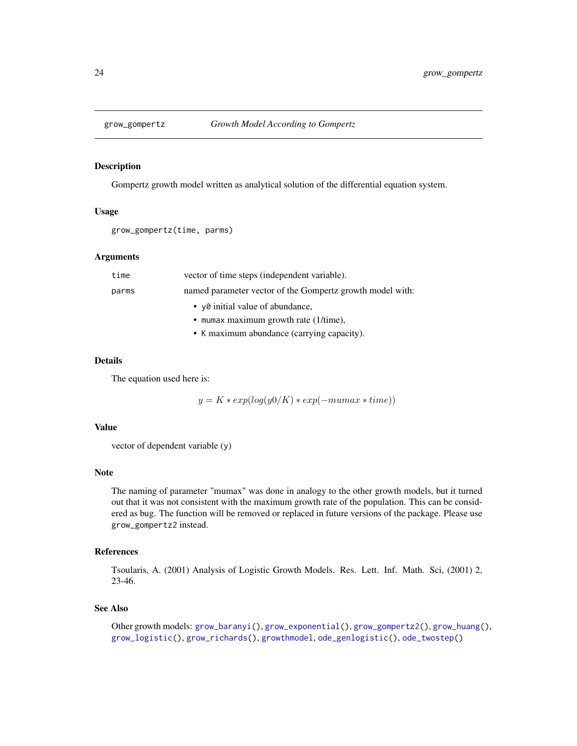<span id="page-23-1"></span><span id="page-23-0"></span>

#### Description

Gompertz growth model written as analytical solution of the differential equation system.

# Usage

```
grow_gompertz(time, parms)
```
# Arguments

| time  | vector of time steps (independent variable).              |
|-------|-----------------------------------------------------------|
| parms | named parameter vector of the Gompertz growth model with: |
|       | • y0 initial value of abundance,                          |
|       | • mumax maximum growth rate (1/time),                     |
|       | • K maximum abundance (carrying capacity).                |

#### Details

The equation used here is:

$$
y = K * exp(log(y0/K) * exp(-mumax * time))
$$

#### Value

vector of dependent variable (y)

#### Note

The naming of parameter "mumax" was done in analogy to the other growth models, but it turned out that it was not consistent with the maximum growth rate of the population. This can be considered as bug. The function will be removed or replaced in future versions of the package. Please use grow\_gompertz2 instead.

# References

Tsoularis, A. (2001) Analysis of Logistic Growth Models. Res. Lett. Inf. Math. Sci, (2001) 2, 23-46.

# See Also

```
Other growth models: grow_baranyi(), grow_exponential(), grow_gompertz2(), grow_huang(),
grow_logistic(), grow_richards(), growthmodel, ode_genlogistic(), ode_twostep()
```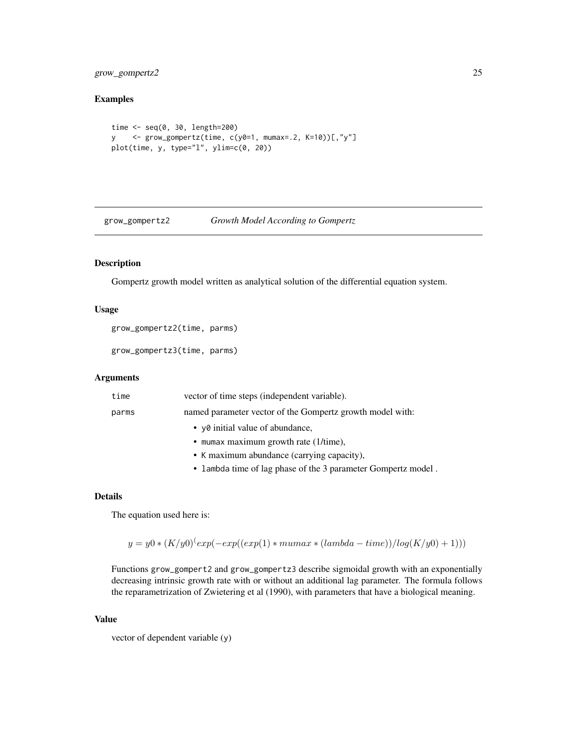# <span id="page-24-0"></span>grow\_gompertz2 25

# Examples

```
time <- seq(0, 30, length=200)
y <- grow_gompertz(time, c(y0=1, mumax=.2, K=10))[,"y"]
plot(time, y, type="l", ylim=c(0, 20))
```
<span id="page-24-1"></span>grow\_gompertz2 *Growth Model According to Gompertz*

# Description

Gompertz growth model written as analytical solution of the differential equation system.

#### Usage

```
grow_gompertz2(time, parms)
```
grow\_gompertz3(time, parms)

# Arguments

| time  | vector of time steps (independent variable).                  |
|-------|---------------------------------------------------------------|
| parms | named parameter vector of the Gompertz growth model with:     |
|       | • yo initial value of abundance,                              |
|       | • mumax maximum growth rate $(1/time)$ ,                      |
|       | • K maximum abundance (carrying capacity),                    |
|       | • lambda time of lag phase of the 3 parameter Gompertz model. |

# Details

The equation used here is:

```
y = y0 * (K/y0)^{(exp(-exp((exp(1) * muma x * (lambda - time)) / log(K/y0) + 1)))}
```
Functions grow\_gompert2 and grow\_gompertz3 describe sigmoidal growth with an exponentially decreasing intrinsic growth rate with or without an additional lag parameter. The formula follows the reparametrization of Zwietering et al (1990), with parameters that have a biological meaning.

#### Value

vector of dependent variable (y)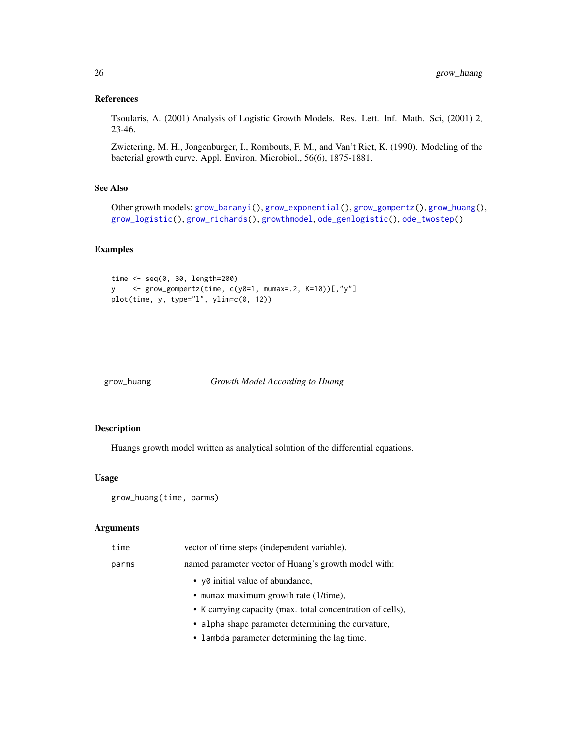#### <span id="page-25-0"></span>References

Tsoularis, A. (2001) Analysis of Logistic Growth Models. Res. Lett. Inf. Math. Sci, (2001) 2, 23-46.

Zwietering, M. H., Jongenburger, I., Rombouts, F. M., and Van't Riet, K. (1990). Modeling of the bacterial growth curve. Appl. Environ. Microbiol., 56(6), 1875-1881.

# See Also

```
Other growth models: grow_baranyi(), grow_exponential(), grow_gompertz(), grow_huang(),
grow_logistic(), grow_richards(), growthmodel, ode_genlogistic(), ode_twostep()
```
# Examples

```
time <- seq(0, 30, length=200)
y <- grow_gompertz(time, c(y0=1, mumax=.2, K=10))[,"y"]
plot(time, y, type="l", ylim=c(0, 12))
```
<span id="page-25-1"></span>

# grow\_huang *Growth Model According to Huang*

# Description

Huangs growth model written as analytical solution of the differential equations.

# Usage

grow\_huang(time, parms)

# Arguments

| time  | vector of time steps (independent variable).               |
|-------|------------------------------------------------------------|
| parms | named parameter vector of Huang's growth model with:       |
|       | • yo initial value of abundance,                           |
|       | • mumax maximum growth rate (1/time),                      |
|       | • K carrying capacity (max. total concentration of cells), |
|       | • alpha shape parameter determining the curvature,         |
|       | • lambda parameter determining the lag time.               |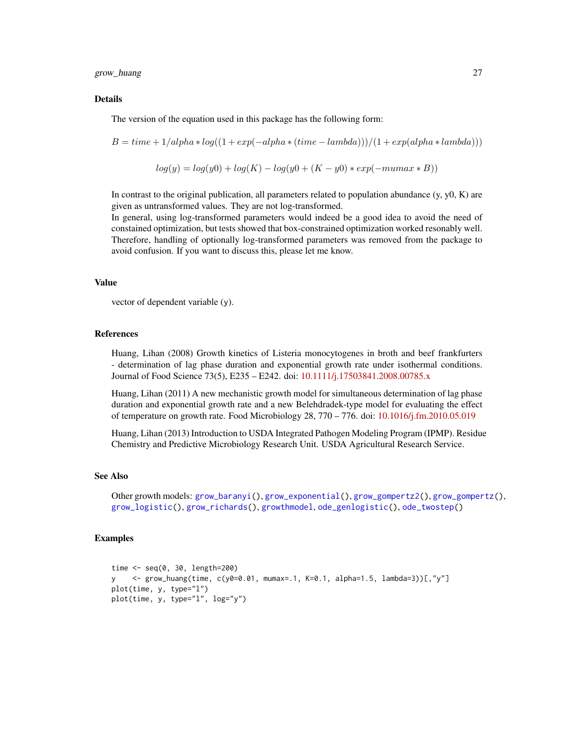<span id="page-26-0"></span>grow\_huang 27

#### Details

The version of the equation used in this package has the following form:

$$
B = time + 1/alpha * log((1 + exp(-alpha * (time - lambda)))/(1 + exp(a1) * (ambda)))
$$

$$
log(y) = log(y0) + log(K) - log(y0 + (K - y0) * exp(-mumax * B))
$$

In contrast to the original publication, all parameters related to population abundance  $(y, y0, K)$  are given as untransformed values. They are not log-transformed.

In general, using log-transformed parameters would indeed be a good idea to avoid the need of constained optimization, but tests showed that box-constrained optimization worked resonably well. Therefore, handling of optionally log-transformed parameters was removed from the package to avoid confusion. If you want to discuss this, please let me know.

#### Value

vector of dependent variable (y).

#### References

Huang, Lihan (2008) Growth kinetics of Listeria monocytogenes in broth and beef frankfurters - determination of lag phase duration and exponential growth rate under isothermal conditions. Journal of Food Science 73(5), E235 – E242. doi: [10.1111/j.17503841.2008.00785.x](https://doi.org/10.1111/j.1750-3841.2008.00785.x)

Huang, Lihan (2011) A new mechanistic growth model for simultaneous determination of lag phase duration and exponential growth rate and a new Belehdradek-type model for evaluating the effect of temperature on growth rate. Food Microbiology 28, 770 – 776. doi: [10.1016/j.fm.2010.05.019](https://doi.org/10.1016/j.fm.2010.05.019)

Huang, Lihan (2013) Introduction to USDA Integrated Pathogen Modeling Program (IPMP). Residue Chemistry and Predictive Microbiology Research Unit. USDA Agricultural Research Service.

# See Also

```
Other growth models: grow_baranyi(), grow_exponential(), grow_gompertz2(), grow_gompertz(),
grow_logistic(), grow_richards(), growthmodel, ode_genlogistic(), ode_twostep()
```

```
time <- seq(0, 30, length=200)
y <- grow_huang(time, c(y0=0.01, mumax=.1, K=0.1, alpha=1.5, lambda=3))[,"y"]
plot(time, y, type="l")
plot(time, y, type="l", log="y")
```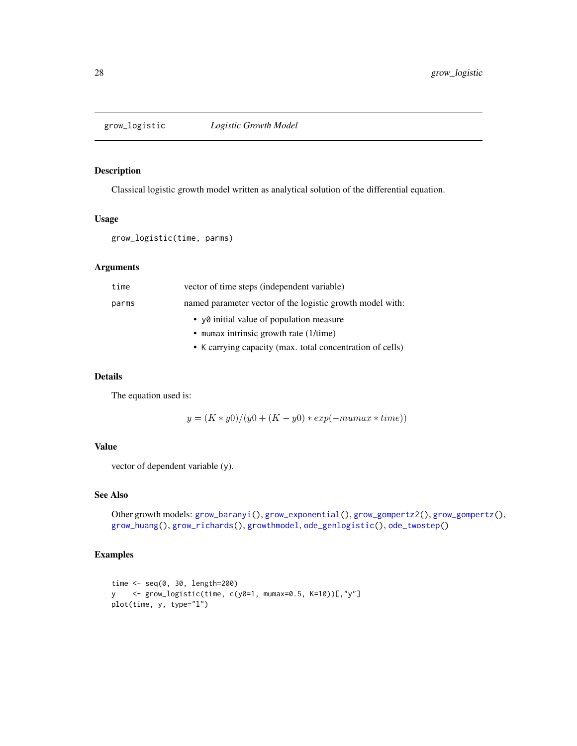<span id="page-27-1"></span><span id="page-27-0"></span>

# Description

Classical logistic growth model written as analytical solution of the differential equation.

#### Usage

```
grow_logistic(time, parms)
```
# Arguments

| time  | vector of time steps (independent variable)               |
|-------|-----------------------------------------------------------|
| parms | named parameter vector of the logistic growth model with: |
|       | • y0 initial value of population measure                  |
|       | • mumax intrinsic growth rate $(1/time)$                  |
|       | • K carrying capacity (max. total concentration of cells) |

# Details

The equation used is:

 $y = (K * y0)/(y0 + (K - y0) * exp(-mumax * time))$ 

# Value

vector of dependent variable (y).

# See Also

```
Other growth models: grow_baranyi(), grow_exponential(), grow_gompertz2(), grow_gompertz(),
grow_huang(), grow_richards(), growthmodel, ode_genlogistic(), ode_twostep()
```

```
time <- seq(0, 30, length=200)
y <- grow_logistic(time, c(y0=1, mumax=0.5, K=10))[,"y"]
plot(time, y, type="l")
```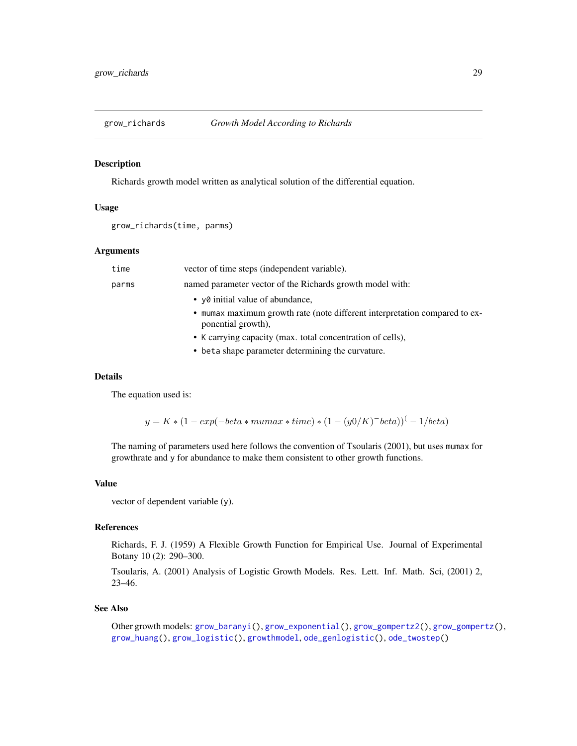<span id="page-28-1"></span><span id="page-28-0"></span>

# Description

Richards growth model written as analytical solution of the differential equation.

# Usage

```
grow_richards(time, parms)
```
#### Arguments

| time  | vector of time steps (independent variable).                                                     |
|-------|--------------------------------------------------------------------------------------------------|
| parms | named parameter vector of the Richards growth model with:                                        |
|       | • y0 initial value of abundance,                                                                 |
|       | • mumax maximum growth rate (note different interpretation compared to ex-<br>ponential growth), |
|       | • K carrying capacity (max. total concentration of cells),                                       |
|       |                                                                                                  |

• beta shape parameter determining the curvature.

#### Details

The equation used is:

 $y = K * (1 - exp(-beta * muma x * time) * (1 - (y0/K)^{-}beta))(-1/beta)$ 

The naming of parameters used here follows the convention of Tsoularis (2001), but uses mumax for growthrate and y for abundance to make them consistent to other growth functions.

# Value

vector of dependent variable (y).

#### References

Richards, F. J. (1959) A Flexible Growth Function for Empirical Use. Journal of Experimental Botany 10 (2): 290–300.

Tsoularis, A. (2001) Analysis of Logistic Growth Models. Res. Lett. Inf. Math. Sci, (2001) 2, 23–46.

#### See Also

Other growth models: [grow\\_baranyi\(](#page-21-1)), [grow\\_exponential\(](#page-22-1)), [grow\\_gompertz2\(](#page-24-1)), [grow\\_gompertz\(](#page-23-1)), [grow\\_huang\(](#page-25-1)), [grow\\_logistic\(](#page-27-1)), [growthmodel](#page-19-1), [ode\\_genlogistic\(](#page-30-1)), [ode\\_twostep\(](#page-32-1))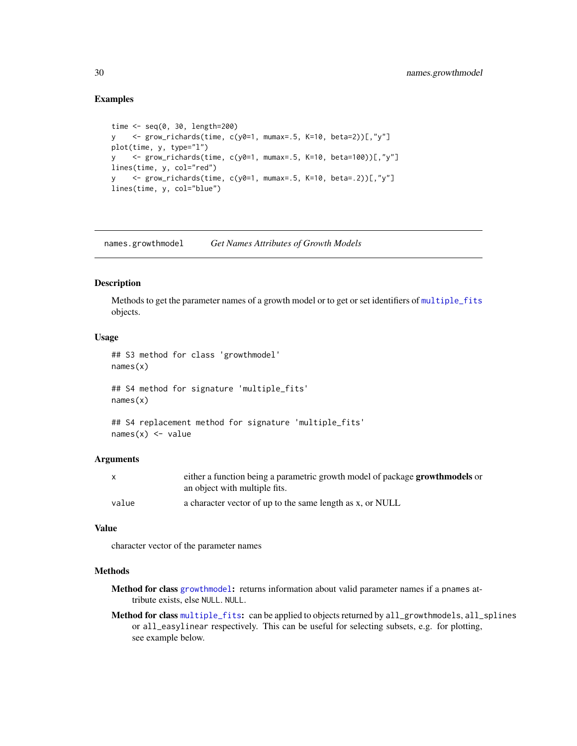# Examples

```
time \leq seq(0, 30, length=200)
y <- grow_richards(time, c(y0=1, mumax=.5, K=10, beta=2))[,"y"]
plot(time, y, type="l")
y <- grow_richards(time, c(y0=1, mumax=.5, K=10, beta=100))[,"y"]
lines(time, y, col="red")
y <- grow_richards(time, c(y0=1, mumax=.5, K=10, beta=.2))[,"y"]
lines(time, y, col="blue")
```
names.growthmodel *Get Names Attributes of Growth Models*

#### Description

Methods to get the parameter names of a growth model or to get or set identifiers of [multiple\\_fits](#page-20-1) objects.

# Usage

```
## S3 method for class 'growthmodel'
names(x)
## S4 method for signature 'multiple_fits'
```
names(x)

```
## S4 replacement method for signature 'multiple_fits'
names(x) <- value
```
# Arguments

|       | either a function being a parametric growth model of package <b>growthmodels</b> or |
|-------|-------------------------------------------------------------------------------------|
|       | an object with multiple fits.                                                       |
| value | a character vector of up to the same length as x, or NULL                           |

# Value

character vector of the parameter names

#### Methods

- Method for class [growthmodel](#page-19-1): returns information about valid parameter names if a pnames attribute exists, else NULL. NULL.
- Method for class [multiple\\_fits](#page-20-1): can be applied to objects returned by all\_growthmodels, all\_splines or all\_easylinear respectively. This can be useful for selecting subsets, e.g. for plotting, see example below.

<span id="page-29-0"></span>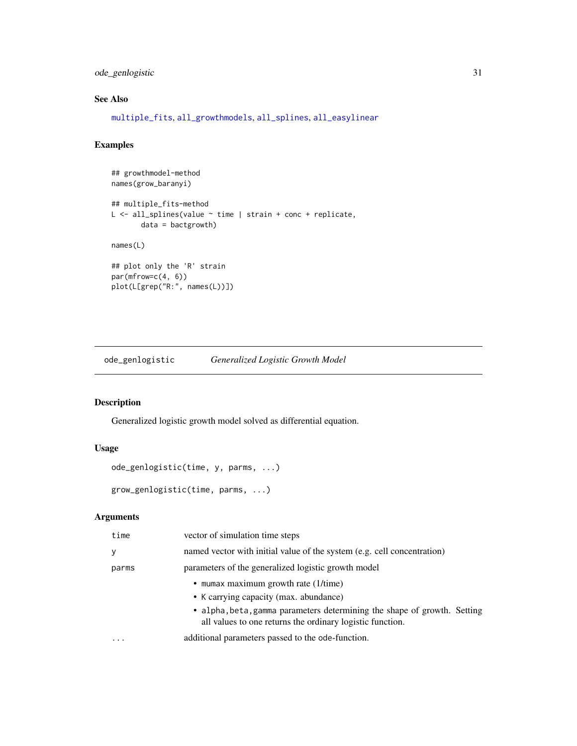# <span id="page-30-0"></span>ode\_genlogistic 31

# See Also

[multiple\\_fits](#page-20-1), [all\\_growthmodels](#page-4-1), [all\\_splines](#page-7-1), [all\\_easylinear](#page-3-1)

# Examples

```
## growthmodel-method
names(grow_baranyi)
## multiple_fits-method
L <- all_splines(value ~ time | strain + conc + replicate,
       data = bactgrowth)
names(L)
## plot only the 'R' strain
par(mfrow=c(4, 6))
plot(L[grep("R:", names(L))])
```
<span id="page-30-1"></span>ode\_genlogistic *Generalized Logistic Growth Model*

# Description

Generalized logistic growth model solved as differential equation.

# Usage

```
ode_genlogistic(time, y, parms, ...)
```
# grow\_genlogistic(time, parms, ...)

#### Arguments

| time  | vector of simulation time steps                                                                                                       |
|-------|---------------------------------------------------------------------------------------------------------------------------------------|
| у     | named vector with initial value of the system (e.g. cell concentration)                                                               |
| parms | parameters of the generalized logistic growth model                                                                                   |
|       | • mumax maximum growth rate $(1/time)$                                                                                                |
|       | • K carrying capacity (max. abundance)                                                                                                |
|       | • alpha, beta, gamma parameters determining the shape of growth. Setting<br>all values to one returns the ordinary logistic function. |
| .     | additional parameters passed to the ode-function.                                                                                     |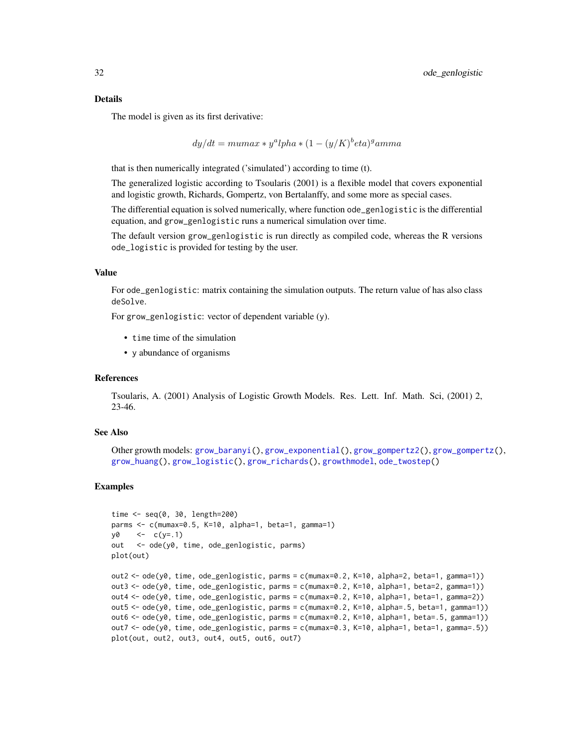<span id="page-31-0"></span>The model is given as its first derivative:

$$
dy/dt = mumax * y^a lpha * (1 - (y/K)^b eta)^gamma
$$

that is then numerically integrated ('simulated') according to time (t).

The generalized logistic according to Tsoularis (2001) is a flexible model that covers exponential and logistic growth, Richards, Gompertz, von Bertalanffy, and some more as special cases.

The differential equation is solved numerically, where function ode\_genlogistic is the differential equation, and grow\_genlogistic runs a numerical simulation over time.

The default version grow\_genlogistic is run directly as compiled code, whereas the R versions ode\_logistic is provided for testing by the user.

#### Value

For ode\_genlogistic: matrix containing the simulation outputs. The return value of has also class deSolve.

For grow\_genlogistic: vector of dependent variable (y).

- time time of the simulation
- y abundance of organisms

# References

Tsoularis, A. (2001) Analysis of Logistic Growth Models. Res. Lett. Inf. Math. Sci, (2001) 2, 23-46.

# See Also

```
Other growth models: grow_baranyi(), grow_exponential(), grow_gompertz2(), grow_gompertz(),
grow_huang(), grow_logistic(), grow_richards(), growthmodel, ode_twostep()
```

```
time \leq seq(0, 30, length=200)
parms <- c(mumax=0.5, K=10, alpha=1, beta=1, gamma=1)
y0 \le -c(y=.1)out <- ode(y0, time, ode_genlogistic, parms)
plot(out)
out2 <- ode(y0, time, ode_genlogistic, parms = c(mumax=0.2, K=10, alpha=2, beta=1, gamma=1))
out3 <- ode(y0, time, ode_genlogistic, parms = c(mumax=0.2, K=10, alpha=1, beta=2, gamma=1))
out4 <- ode(y0, time, ode_genlogistic, parms = c(mumax=0.2, K=10, alpha=1, beta=1, gamma=2))
out5 <- ode(y0, time, ode_genlogistic, parms = c(mumax=0.2, K=10, alpha=.5, beta=1, gamma=1))
out6 <- ode(y0, time, ode_genlogistic, parms = c(mumax=0.2, K=10, alpha=1, beta=.5, gamma=1))
out7 <- ode(y0, time, ode_genlogistic, parms = c(mumax=0.3, K=10, alpha=1, beta=1, gamma=.5))
plot(out, out2, out3, out4, out5, out6, out7)
```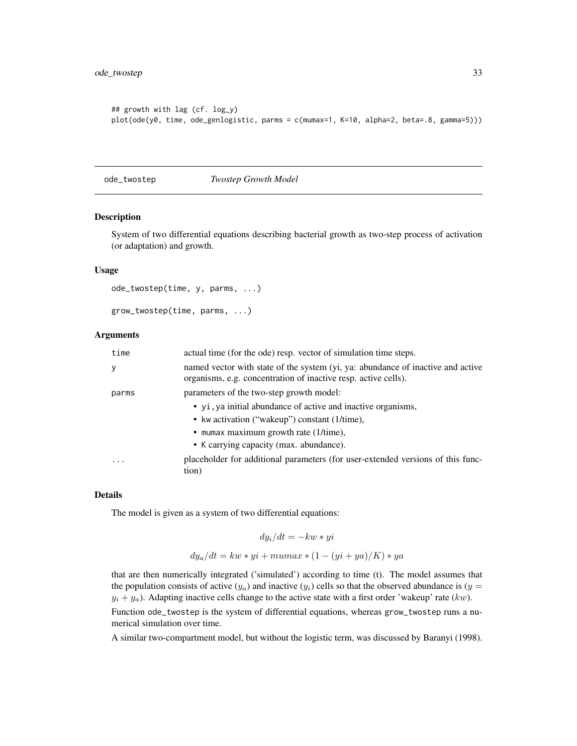```
## growth with lag (cf. log_y)
plot(ode(y0, time, ode_genlogistic, parms = c(mumax=1, K=10, alpha=2, beta=.8, gamma=5)))
```
<span id="page-32-1"></span>ode\_twostep *Twostep Growth Model*

# Description

System of two differential equations describing bacterial growth as two-step process of activation (or adaptation) and growth.

#### Usage

```
ode_twostep(time, y, parms, ...)
```

```
grow_twostep(time, parms, ...)
```
#### Arguments

| time  | actual time (for the ode) resp. vector of simulation time steps.                                                                                  |
|-------|---------------------------------------------------------------------------------------------------------------------------------------------------|
| У     | named vector with state of the system (yi, ya: abundance of inactive and active<br>organisms, e.g. concentration of inactive resp. active cells). |
| parms | parameters of the two-step growth model:                                                                                                          |
|       | • yi, ya initial abundance of active and inactive organisms,                                                                                      |
|       | • kw activation ("wakeup") constant (1/time),                                                                                                     |
|       | • mumax maximum growth rate $(1/time)$ ,                                                                                                          |
|       | • K carrying capacity (max. abundance).                                                                                                           |
| .     | placeholder for additional parameters (for user-extended versions of this func-<br>tion)                                                          |

#### Details

The model is given as a system of two differential equations:

$$
dy_i/dt = -kw * yi
$$

$$
dy_a/dt = kw * yi + mumas * (1 - (yi + ya)/K) * ya
$$

that are then numerically integrated ('simulated') according to time (t). The model assumes that the population consists of active  $(y_a)$  and inactive  $(y_i)$  cells so that the observed abundance is  $(y =$  $y_i + y_a$ ). Adapting inactive cells change to the active state with a first order 'wakeup' rate (kw).

Function ode\_twostep is the system of differential equations, whereas grow\_twostep runs a numerical simulation over time.

A similar two-compartment model, but without the logistic term, was discussed by Baranyi (1998).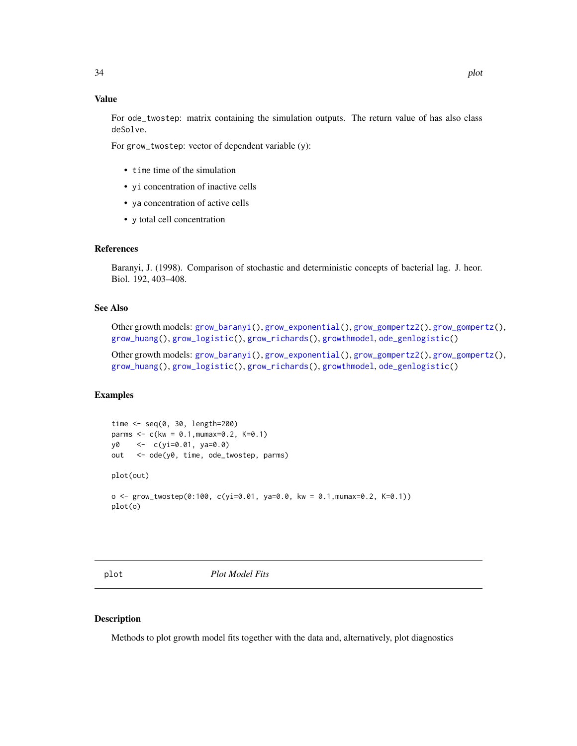# <span id="page-33-0"></span>Value

For ode\_twostep: matrix containing the simulation outputs. The return value of has also class deSolve.

For grow\_twostep: vector of dependent variable (y):

- time time of the simulation
- yi concentration of inactive cells
- ya concentration of active cells
- y total cell concentration

# References

Baranyi, J. (1998). Comparison of stochastic and deterministic concepts of bacterial lag. J. heor. Biol. 192, 403–408.

# See Also

Other growth models: [grow\\_baranyi\(](#page-21-1)), [grow\\_exponential\(](#page-22-1)), [grow\\_gompertz2\(](#page-24-1)), [grow\\_gompertz\(](#page-23-1)), [grow\\_huang\(](#page-25-1)), [grow\\_logistic\(](#page-27-1)), [grow\\_richards\(](#page-28-1)), [growthmodel](#page-19-1), [ode\\_genlogistic\(](#page-30-1))

Other growth models: [grow\\_baranyi\(](#page-21-1)), [grow\\_exponential\(](#page-22-1)), [grow\\_gompertz2\(](#page-24-1)), [grow\\_gompertz\(](#page-23-1)), [grow\\_huang\(](#page-25-1)), [grow\\_logistic\(](#page-27-1)), [grow\\_richards\(](#page-28-1)), [growthmodel](#page-19-1), [ode\\_genlogistic\(](#page-30-1))

# Examples

```
time <- seq(0, 30, length=200)
parms <- c(kw = 0.1,mumax=0.2, K=0.1)
y0 <- c(yi=0.01, ya=0.0)
out <- ode(y0, time, ode_twostep, parms)
plot(out)
o <- grow_twostep(0:100, c(yi=0.01, ya=0.0, kw = 0.1,mumax=0.2, K=0.1))
plot(o)
```
plot *Plot Model Fits*

#### Description

Methods to plot growth model fits together with the data and, alternatively, plot diagnostics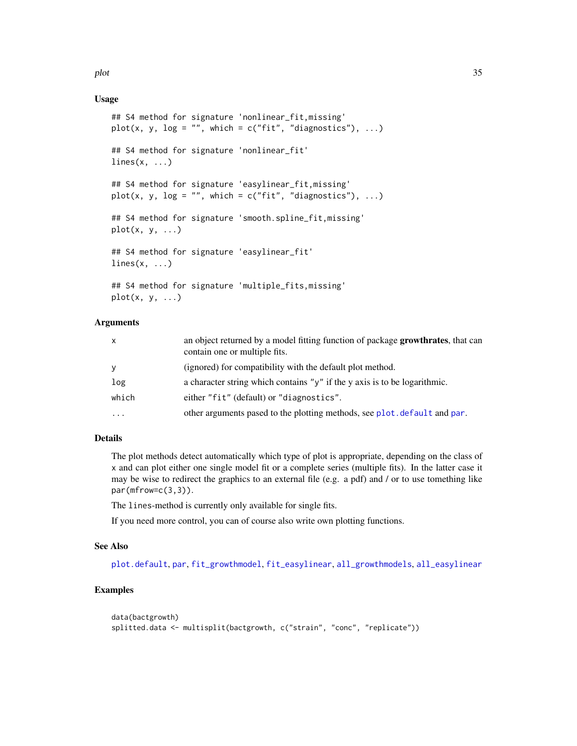<span id="page-34-0"></span>plot the state of  $\sim$  35

# Usage

```
## S4 method for signature 'nonlinear_fit,missing'
plot(x, y, log = "", which = c("fit", "diagonostics"), ...)## S4 method for signature 'nonlinear_fit'
lines(x, \ldots)## S4 method for signature 'easylinear_fit,missing'
plot(x, y, log = "", which = c("fit", "diagnostics"), ...)
## S4 method for signature 'smooth.spline_fit,missing'
plot(x, y, \ldots)## S4 method for signature 'easylinear_fit'
lines(x, \ldots)## S4 method for signature 'multiple_fits,missing'
plot(x, y, ...)
```
# Arguments

| X         | an object returned by a model fitting function of package <b>growthrates</b> , that can<br>contain one or multiple fits. |
|-----------|--------------------------------------------------------------------------------------------------------------------------|
| y         | (ignored) for compatibility with the default plot method.                                                                |
| log       | a character string which contains " $y$ " if the y axis is to be logarithmic.                                            |
| which     | either "fit" (default) or "diagnostics".                                                                                 |
| $\ddotsc$ | other arguments pased to the plotting methods, see plot.default and par.                                                 |

# Details

The plot methods detect automatically which type of plot is appropriate, depending on the class of x and can plot either one single model fit or a complete series (multiple fits). In the latter case it may be wise to redirect the graphics to an external file (e.g. a pdf) and / or to use tomething like  $par(mfrow=c(3,3))$ .

The lines-method is currently only available for single fits.

If you need more control, you can of course also write own plotting functions.

#### See Also

[plot.default](#page-0-0), [par](#page-0-0), [fit\\_growthmodel](#page-15-1), [fit\\_easylinear](#page-14-1), [all\\_growthmodels](#page-4-1), [all\\_easylinear](#page-3-1)

```
data(bactgrowth)
splitted.data <- multisplit(bactgrowth, c("strain", "conc", "replicate"))
```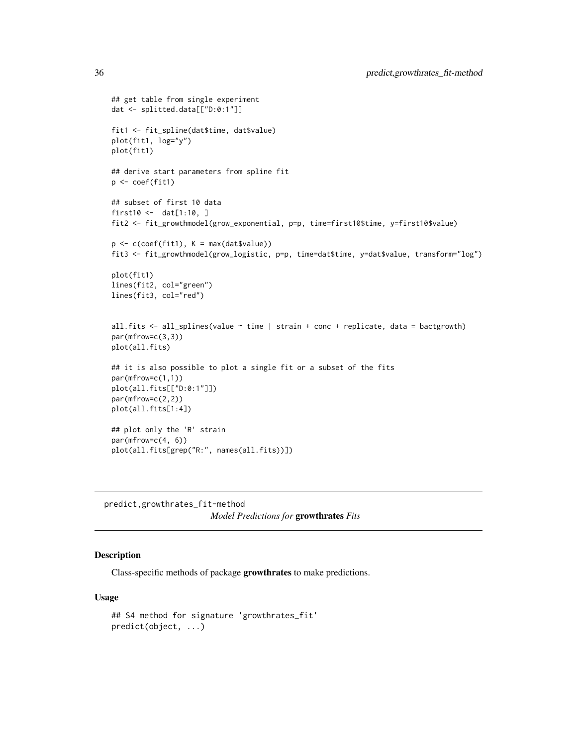```
## get table from single experiment
dat <- splitted.data[["D:0:1"]]
fit1 <- fit_spline(dat$time, dat$value)
plot(fit1, log="y")
plot(fit1)
## derive start parameters from spline fit
p <- coef(fit1)
## subset of first 10 data
first10 <- dat[1:10, ]
fit2 <- fit_growthmodel(grow_exponential, p=p, time=first10$time, y=first10$value)
p \leftarrow c(coef(fitt), K = max(datavalue))fit3 <- fit_growthmodel(grow_logistic, p=p, time=dat$time, y=dat$value, transform="log")
plot(fit1)
lines(fit2, col="green")
lines(fit3, col="red")
all.fits <- all_splines(value ~ time | strain + conc + replicate, data = bactgrowth)
par(mfrow=c(3,3))
plot(all.fits)
## it is also possible to plot a single fit or a subset of the fits
par(mfrow=c(1,1))
plot(all.fits[["D:0:1"]])
par(mfrow=c(2,2))
plot(all.fits[1:4])
## plot only the 'R' strain
par(mfrow=c(4, 6))plot(all.fits[grep("R:", names(all.fits))])
```

```
predict,growthrates_fit-method
                        Model Predictions for growthrates Fits
```
# Description

Class-specific methods of package growthrates to make predictions.

#### Usage

```
## S4 method for signature 'growthrates_fit'
predict(object, ...)
```
<span id="page-35-0"></span>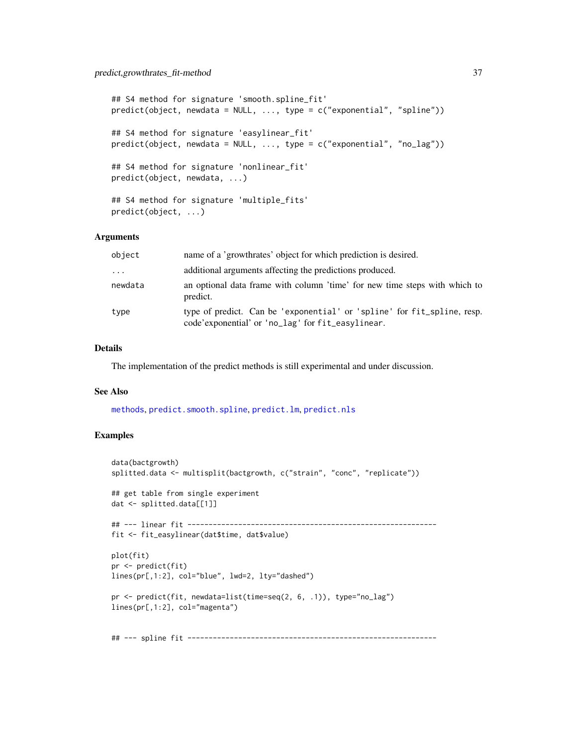```
## S4 method for signature 'smooth.spline_fit'
predict(object, newdata = NULL, ..., type = c("exponential", "spline"))
## S4 method for signature 'easylinear_fit'
predict(object, newdata = NULL, ..., type = c("exponential", "no_lag"))
## S4 method for signature 'nonlinear_fit'
predict(object, newdata, ...)
## S4 method for signature 'multiple_fits'
predict(object, ...)
```
# Arguments

| object  | name of a 'growthrates' object for which prediction is desired.                                                              |
|---------|------------------------------------------------------------------------------------------------------------------------------|
| $\cdot$ | additional arguments affecting the predictions produced.                                                                     |
| newdata | an optional data frame with column 'time' for new time steps with which to<br>predict.                                       |
| type    | type of predict. Can be 'exponential' or 'spline' for fit_spline, resp.<br>code'exponential' or 'no_lag' for fit_easylinear. |

# Details

The implementation of the predict methods is still experimental and under discussion.

# See Also

[methods](#page-0-0), [predict.smooth.spline](#page-0-0), [predict.lm](#page-0-0), [predict.nls](#page-0-0)

```
data(bactgrowth)
splitted.data <- multisplit(bactgrowth, c("strain", "conc", "replicate"))
## get table from single experiment
dat <- splitted.data[[1]]
## --- linear fit -----------------------------------------------------------
fit <- fit_easylinear(dat$time, dat$value)
plot(fit)
pr <- predict(fit)
lines(pr[,1:2], col="blue", lwd=2, lty="dashed")
pr <- predict(fit, newdata=list(time=seq(2, 6, .1)), type="no_lag")
lines(pr[,1:2], col="magenta")
## --- spline fit -----------------------------------------------------------
```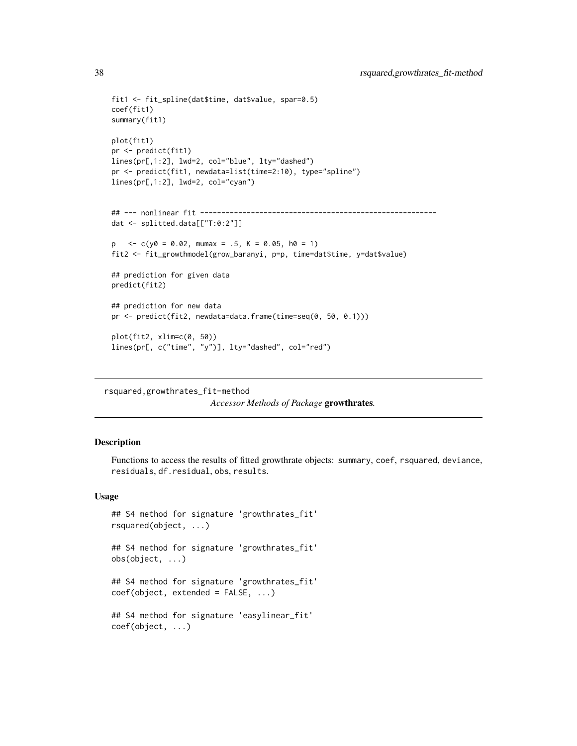```
fit1 <- fit_spline(dat$time, dat$value, spar=0.5)
coef(fit1)
summary(fit1)
plot(fit1)
pr <- predict(fit1)
lines(pr[,1:2], lwd=2, col="blue", lty="dashed")
pr <- predict(fit1, newdata=list(time=2:10), type="spline")
lines(pr[,1:2], lwd=2, col="cyan")
## --- nonlinear fit --------------------------------------------------------
dat <- splitted.data[["T:0:2"]]
p \leq -c(y0 = 0.02, \text{ m}{\text{u}} \approx -5, \text{K} = 0.05, \text{h0} = 1)fit2 <- fit_growthmodel(grow_baranyi, p=p, time=dat$time, y=dat$value)
## prediction for given data
predict(fit2)
## prediction for new data
pr <- predict(fit2, newdata=data.frame(time=seq(0, 50, 0.1)))
plot(fit2, xlim=c(0, 50))
lines(pr[, c("time", "y")], lty="dashed", col="red")
```
rsquared,growthrates\_fit-method

*Accessor Methods of Package* growthrates*.*

#### Description

Functions to access the results of fitted growthrate objects: summary, coef, rsquared, deviance, residuals, df.residual, obs, results.

#### Usage

```
## S4 method for signature 'growthrates_fit'
rsquared(object, ...)
## S4 method for signature 'growthrates_fit'
obs(object, ...)
## S4 method for signature 'growthrates_fit'
coef(object, extended = FALSE, ...)## S4 method for signature 'easylinear_fit'
coef(object, ...)
```
<span id="page-37-0"></span>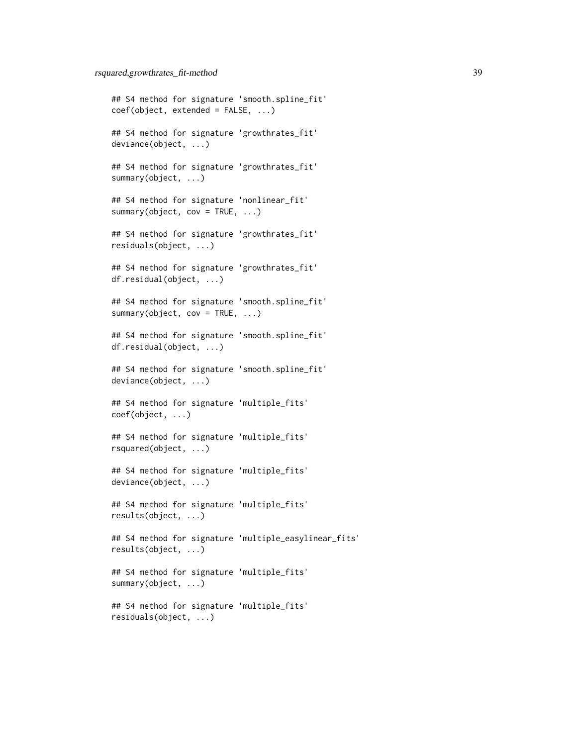## S4 method for signature 'smooth.spline\_fit' coef(object, extended = FALSE, ...) ## S4 method for signature 'growthrates\_fit' deviance(object, ...) ## S4 method for signature 'growthrates\_fit' summary(object, ...) ## S4 method for signature 'nonlinear\_fit' summary(object, cov = TRUE, ...) ## S4 method for signature 'growthrates\_fit' residuals(object, ...) ## S4 method for signature 'growthrates\_fit' df.residual(object, ...) ## S4 method for signature 'smooth.spline\_fit' summary(object,  $cov = TRUE, ...$ ) ## S4 method for signature 'smooth.spline\_fit' df.residual(object, ...) ## S4 method for signature 'smooth.spline\_fit' deviance(object, ...) ## S4 method for signature 'multiple\_fits' coef(object, ...) ## S4 method for signature 'multiple\_fits' rsquared(object, ...) ## S4 method for signature 'multiple\_fits' deviance(object, ...) ## S4 method for signature 'multiple\_fits' results(object, ...) ## S4 method for signature 'multiple\_easylinear\_fits' results(object, ...) ## S4 method for signature 'multiple\_fits' summary(object, ...) ## S4 method for signature 'multiple\_fits' residuals(object, ...)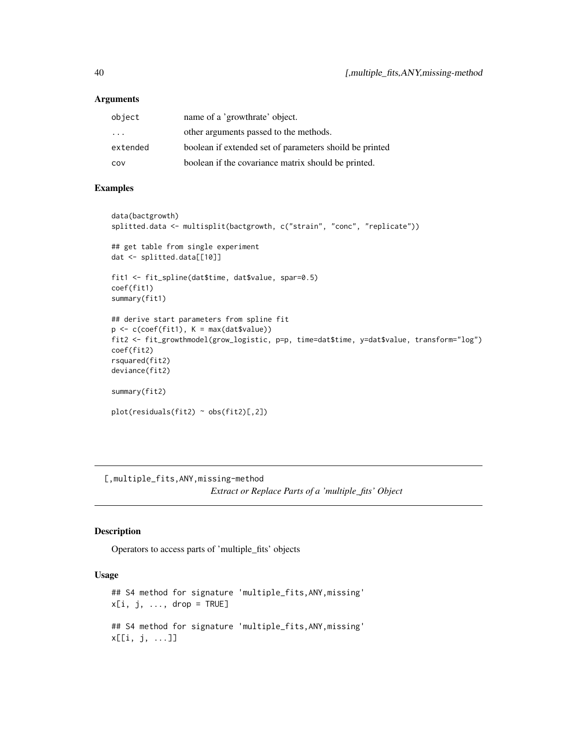# <span id="page-39-0"></span>Arguments

| object                  | name of a 'growthrate' object.                          |
|-------------------------|---------------------------------------------------------|
| $\cdot$ $\cdot$ $\cdot$ | other arguments passed to the methods.                  |
| extended                | boolean if extended set of parameters shoild be printed |
| COV                     | boolean if the covariance matrix should be printed.     |

#### Examples

```
data(bactgrowth)
splitted.data <- multisplit(bactgrowth, c("strain", "conc", "replicate"))
## get table from single experiment
dat <- splitted.data[[10]]
fit1 <- fit_spline(dat$time, dat$value, spar=0.5)
coef(fit1)
summary(fit1)
## derive start parameters from spline fit
p \leftarrow c(coef(fitt), K = max(datavalue))fit2 <- fit_growthmodel(grow_logistic, p=p, time=dat$time, y=dat$value, transform="log")
coef(fit2)
rsquared(fit2)
deviance(fit2)
summary(fit2)
plot(residuals(fit2) ~ obs(fit2)[,2])
```
[,multiple\_fits,ANY,missing-method *Extract or Replace Parts of a 'multiple\_fits' Object*

# Description

Operators to access parts of 'multiple\_fits' objects

# Usage

```
## S4 method for signature 'multiple_fits,ANY,missing'
x[i, j, \ldots, drop = TRUE]## S4 method for signature 'multiple_fits,ANY,missing'
x[[i, j, ...]]
```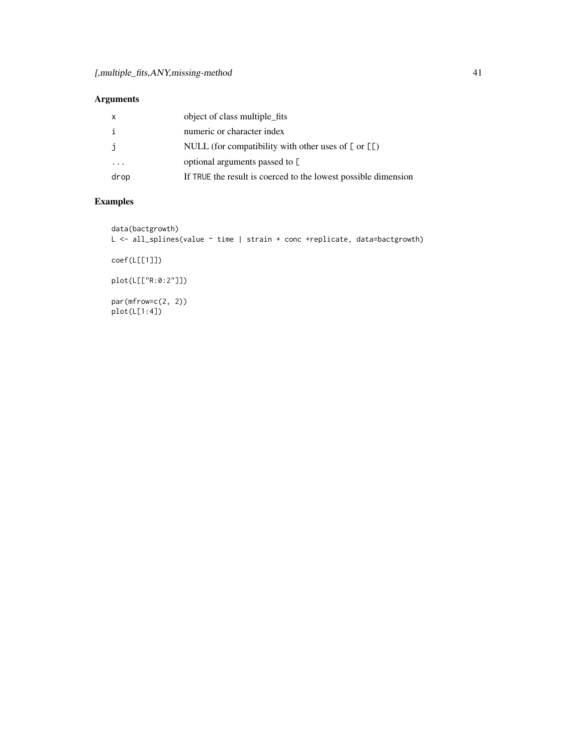# Arguments

| $\mathsf{x}$            | object of class multiple_fits                                   |
|-------------------------|-----------------------------------------------------------------|
| i                       | numeric or character index                                      |
| j                       | NULL (for compatibility with other uses of $[$ or $[$ $[$ $]$ ) |
| $\cdot$ $\cdot$ $\cdot$ | optional arguments passed to $\Gamma$                           |
| drop                    | If TRUE the result is coerced to the lowest possible dimension  |

```
data(bactgrowth)
L <- all_splines(value ~ time | strain + conc +replicate, data=bactgrowth)
coef(L[[1]])
plot(L[["R:0:2"]])
par(mfrow=c(2, 2))
plot(L[1:4])
```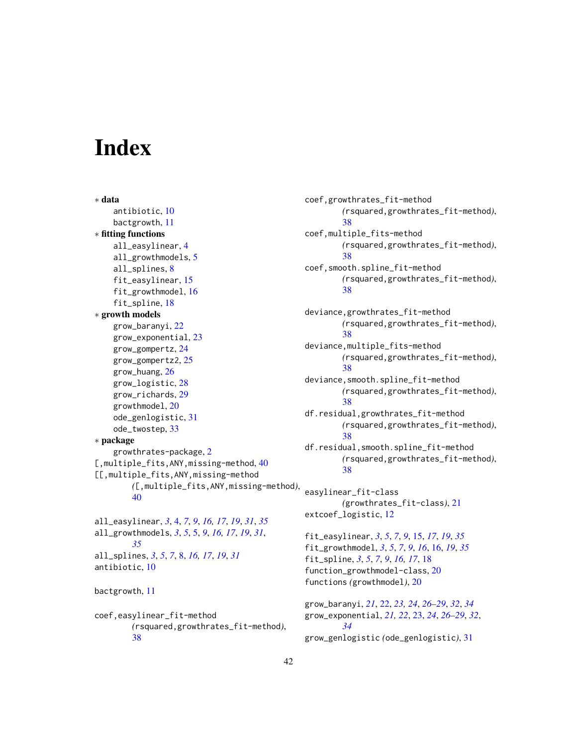# <span id="page-41-0"></span>**Index**

∗ data antibiotic, [10](#page-9-0) bactgrowth, [11](#page-10-0) ∗ fitting functions all\_easylinear, [4](#page-3-0) all\_growthmodels, [5](#page-4-0) all\_splines, [8](#page-7-0) fit\_easylinear, [15](#page-14-0) fit\_growthmodel, [16](#page-15-0) fit\_spline, [18](#page-17-0) ∗ growth models grow\_baranyi, [22](#page-21-0) grow\_exponential, [23](#page-22-0) grow\_gompertz, [24](#page-23-0) grow\_gompertz2, [25](#page-24-0) grow\_huang, [26](#page-25-0) grow\_logistic, [28](#page-27-0) grow\_richards, [29](#page-28-0) growthmodel, [20](#page-19-0) ode\_genlogistic, [31](#page-30-0) ode\_twostep, [33](#page-32-0) ∗ package growthrates-package, [2](#page-1-0) [,multiple\_fits, ANY, missing-method, [40](#page-39-0) [[,multiple\_fits,ANY,missing-method *(*[,multiple\_fits,ANY,missing-method*)*, [40](#page-39-0) all\_easylinear, *[3](#page-2-0)*, [4,](#page-3-0) *[7](#page-6-0)*, *[9](#page-8-0)*, *[16,](#page-15-0) [17](#page-16-0)*, *[19](#page-18-0)*, *[31](#page-30-0)*, *[35](#page-34-0)* all\_growthmodels, *[3](#page-2-0)*, *[5](#page-4-0)*, [5,](#page-4-0) *[9](#page-8-0)*, *[16,](#page-15-0) [17](#page-16-0)*, *[19](#page-18-0)*, *[31](#page-30-0)*,

*[35](#page-34-0)*

all\_splines, *[3](#page-2-0)*, *[5](#page-4-0)*, *[7](#page-6-0)*, [8,](#page-7-0) *[16,](#page-15-0) [17](#page-16-0)*, *[19](#page-18-0)*, *[31](#page-30-0)* antibiotic, [10](#page-9-0)

bactgrowth, [11](#page-10-0)

coef,easylinear\_fit-method *(*rsquared,growthrates\_fit-method*)*, [38](#page-37-0)

coef,growthrates\_fit-method *(*rsquared,growthrates\_fit-method*)*, [38](#page-37-0) coef,multiple\_fits-method *(*rsquared,growthrates\_fit-method*)*, [38](#page-37-0) coef,smooth.spline\_fit-method *(*rsquared,growthrates\_fit-method*)*, [38](#page-37-0) deviance,growthrates\_fit-method *(*rsquared,growthrates\_fit-method*)*, [38](#page-37-0) deviance,multiple\_fits-method *(*rsquared,growthrates\_fit-method*)*, [38](#page-37-0) deviance,smooth.spline\_fit-method *(*rsquared,growthrates\_fit-method*)*, [38](#page-37-0) df.residual,growthrates\_fit-method *(*rsquared,growthrates\_fit-method*)*, [38](#page-37-0) df.residual,smooth.spline\_fit-method *(*rsquared,growthrates\_fit-method*)*, [38](#page-37-0) easylinear\_fit-class *(*growthrates\_fit-class*)*, [21](#page-20-0) extcoef\_logistic, [12](#page-11-0) fit\_easylinear, *[3](#page-2-0)*, *[5](#page-4-0)*, *[7](#page-6-0)*, *[9](#page-8-0)*, [15,](#page-14-0) *[17](#page-16-0)*, *[19](#page-18-0)*, *[35](#page-34-0)* fit\_growthmodel, *[3](#page-2-0)*, *[5](#page-4-0)*, *[7](#page-6-0)*, *[9](#page-8-0)*, *[16](#page-15-0)*, [16,](#page-15-0) *[19](#page-18-0)*, *[35](#page-34-0)* fit\_spline, *[3](#page-2-0)*, *[5](#page-4-0)*, *[7](#page-6-0)*, *[9](#page-8-0)*, *[16,](#page-15-0) [17](#page-16-0)*, [18](#page-17-0) function\_growthmodel-class, [20](#page-19-0)

grow\_baranyi, *[21](#page-20-0)*, [22,](#page-21-0) *[23,](#page-22-0) [24](#page-23-0)*, *[26](#page-25-0)[–29](#page-28-0)*, *[32](#page-31-0)*, *[34](#page-33-0)* grow\_exponential, *[21,](#page-20-0) [22](#page-21-0)*, [23,](#page-22-0) *[24](#page-23-0)*, *[26](#page-25-0)[–29](#page-28-0)*, *[32](#page-31-0)*, *[34](#page-33-0)* grow\_genlogistic *(*ode\_genlogistic*)*, [31](#page-30-0)

functions *(*growthmodel*)*, [20](#page-19-0)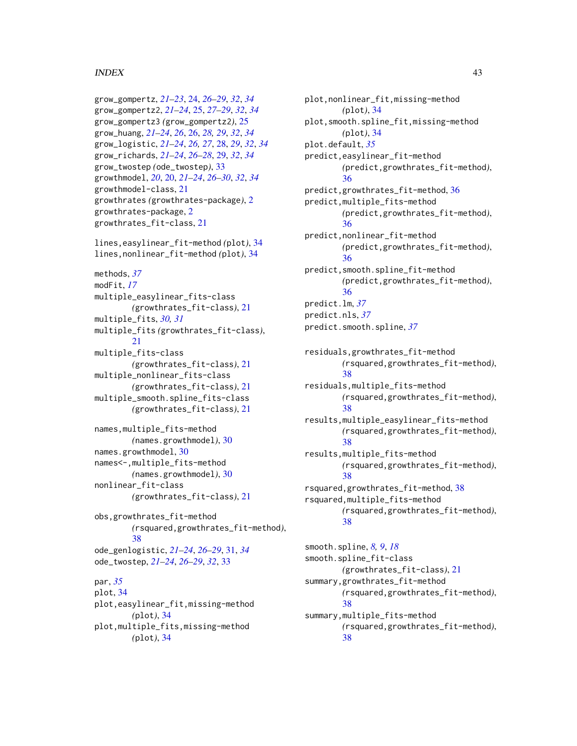# $I<sub>N</sub>$  and  $I<sub>3</sub>$  and  $I<sub>43</sub>$

```
grow_gompertz, 21–23, 24, 26–29, 32, 34
grow_gompertz2, 21–24, 25, 27–29, 32, 34
grow_gompertz3 (grow_gompertz2), 25
grow_huang, 21–24, 26, 26, 28, 29, 32, 34
grow_logistic, 21–24, 26, 27, 28, 29, 32, 34
grow_richards, 21–24, 26–28, 29, 32, 34
grow_twostep (ode_twostep), 33
growthmodel, 20, 20, 21–24, 26–30, 32, 34
growthmodel-class, 21
growthrates (growthrates-package), 2
growthrates-package, 2
growthrates_fit-class, 21
```
lines,easylinear\_fit-method *(*plot*)*, [34](#page-33-0) lines,nonlinear\_fit-method *(*plot*)*, [34](#page-33-0)

```
methods, 37
modFit, 17
multiple_easylinear_fits-class
        (growthrates_fit-class), 21
multiple_fits, 30, 31
multiple_fits (growthrates_fit-class),
        21multiple_fits-class
        (growthrates_fit-class), 21
multiple_nonlinear_fits-class
        (growthrates_fit-class), 21
multiple_smooth.spline_fits-class
        (growthrates_fit-class), 21
```

```
names,multiple_fits-method
        (names.growthmodel), 30
names.growthmodel, 30
names<-,multiple_fits-method
        (names.growthmodel), 30
nonlinear_fit-class
        (growthrates_fit-class), 21
```
obs,growthrates\_fit-method *(*rsquared,growthrates\_fit-method*)*, [38](#page-37-0) ode\_genlogistic, *[21](#page-20-0)[–24](#page-23-0)*, *[26–](#page-25-0)[29](#page-28-0)*, [31,](#page-30-0) *[34](#page-33-0)* ode\_twostep, *[21](#page-20-0)[–24](#page-23-0)*, *[26–](#page-25-0)[29](#page-28-0)*, *[32](#page-31-0)*, [33](#page-32-0)

# par, *[35](#page-34-0)* plot, [34](#page-33-0) plot,easylinear\_fit,missing-method *(*plot*)*, [34](#page-33-0) plot,multiple\_fits,missing-method *(*plot*)*, [34](#page-33-0)

plot,nonlinear\_fit,missing-method *(*plot*)*, [34](#page-33-0) plot,smooth.spline\_fit,missing-method *(*plot*)*, [34](#page-33-0) plot.default, *[35](#page-34-0)* predict,easylinear\_fit-method *(*predict,growthrates\_fit-method*)*, [36](#page-35-0) predict,growthrates\_fit-method, [36](#page-35-0) predict,multiple\_fits-method *(*predict,growthrates\_fit-method*)*, [36](#page-35-0) predict,nonlinear\_fit-method *(*predict,growthrates\_fit-method*)*, [36](#page-35-0) predict,smooth.spline\_fit-method *(*predict,growthrates\_fit-method*)*, [36](#page-35-0) predict.lm, *[37](#page-36-0)* predict.nls, *[37](#page-36-0)*

predict.smooth.spline, *[37](#page-36-0)*

residuals,growthrates\_fit-method *(*rsquared,growthrates\_fit-method*)*, [38](#page-37-0) residuals,multiple\_fits-method

*(*rsquared,growthrates\_fit-method*)*, [38](#page-37-0)

results,multiple\_easylinear\_fits-method *(*rsquared,growthrates\_fit-method*)*, [38](#page-37-0)

results,multiple\_fits-method *(*rsquared,growthrates\_fit-method*)*, [38](#page-37-0)

rsquared,growthrates\_fit-method, [38](#page-37-0) rsquared,multiple\_fits-method *(*rsquared,growthrates\_fit-method*)*, [38](#page-37-0)

smooth.spline, *[8,](#page-7-0) [9](#page-8-0)*, *[18](#page-17-0)* smooth.spline\_fit-class *(*growthrates\_fit-class*)*, [21](#page-20-0) summary,growthrates\_fit-method *(*rsquared,growthrates\_fit-method*)*, [38](#page-37-0) summary,multiple\_fits-method *(*rsquared,growthrates\_fit-method*)*, [38](#page-37-0)